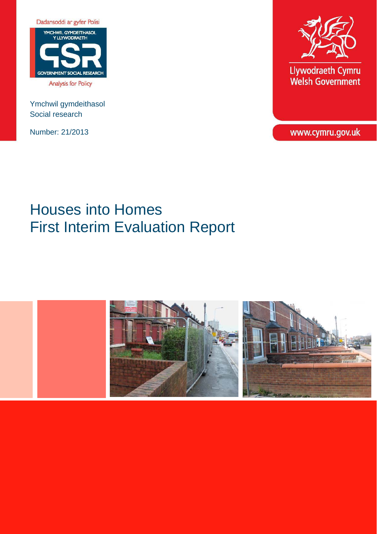

Ymchwil gymdeithasol Social research

Number: 21/2013



Llywodraeth Cymru<br>Welsh Government

www.cymru.gov.uk

# Houses into Homes First Interim Evaluation Report

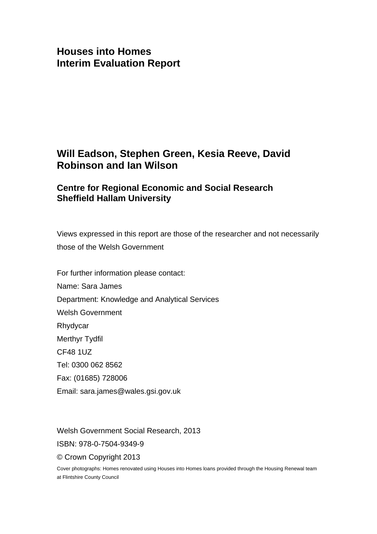### **Houses into Homes Interim Evaluation Report**

### **Will Eadson, Stephen Green, Kesia Reeve, David Robinson and Ian Wilson**

### **Centre for Regional Economic and Social Research Sheffield Hallam University**

Views expressed in this report are those of the researcher and not necessarily those of the Welsh Government

For further information please contact: Name: Sara James Department: Knowledge and Analytical Services Welsh Government Rhydycar Merthyr Tydfil CF48 1UZ Tel: 0300 062 8562 Fax: (01685) 728006 Email: sara.james@wales.gsi.gov.uk

Welsh Government Social Research, 2013 ISBN: 978-0-7504-9349-9 © Crown Copyright 2013

Cover photographs: Homes renovated using Houses into Homes loans provided through the Housing Renewal team at Flintshire County Council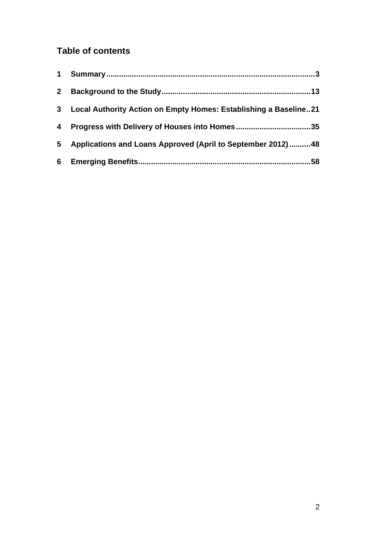### **Table of contents**

| $\mathbf 1$    |                                                                  |
|----------------|------------------------------------------------------------------|
| 2 <sup>1</sup> |                                                                  |
| 3 <sup>1</sup> | Local Authority Action on Empty Homes: Establishing a Baseline21 |
| 4              |                                                                  |
| 5              | Applications and Loans Approved (April to September 2012)48      |
|                | 58                                                               |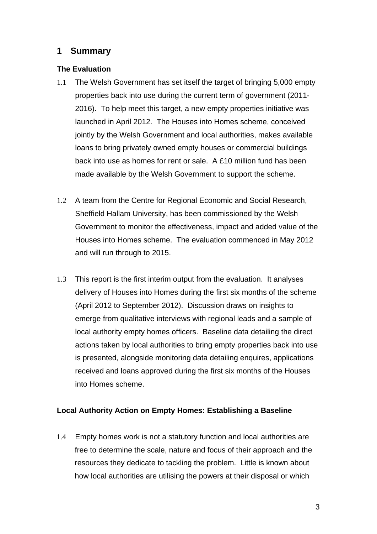### <span id="page-3-0"></span>**1 Summary**

### **The Evaluation**

- 1.1 The Welsh Government has set itself the target of bringing 5,000 empty properties back into use during the current term of government (2011- 2016). To help meet this target, a new empty properties initiative was launched in April 2012. The Houses into Homes scheme, conceived jointly by the Welsh Government and local authorities, makes available loans to bring privately owned empty houses or commercial buildings back into use as homes for rent or sale. A £10 million fund has been made available by the Welsh Government to support the scheme.
- 1.2 A team from the Centre for Regional Economic and Social Research, Sheffield Hallam University, has been commissioned by the Welsh Government to monitor the effectiveness, impact and added value of the Houses into Homes scheme. The evaluation commenced in May 2012 and will run through to 2015.
- 1.3 This report is the first interim output from the evaluation. It analyses delivery of Houses into Homes during the first six months of the scheme (April 2012 to September 2012). Discussion draws on insights to emerge from qualitative interviews with regional leads and a sample of local authority empty homes officers. Baseline data detailing the direct actions taken by local authorities to bring empty properties back into use is presented, alongside monitoring data detailing enquires, applications received and loans approved during the first six months of the Houses into Homes scheme.

### **Local Authority Action on Empty Homes: Establishing a Baseline**

1.4 Empty homes work is not a statutory function and local authorities are free to determine the scale, nature and focus of their approach and the resources they dedicate to tackling the problem. Little is known about how local authorities are utilising the powers at their disposal or which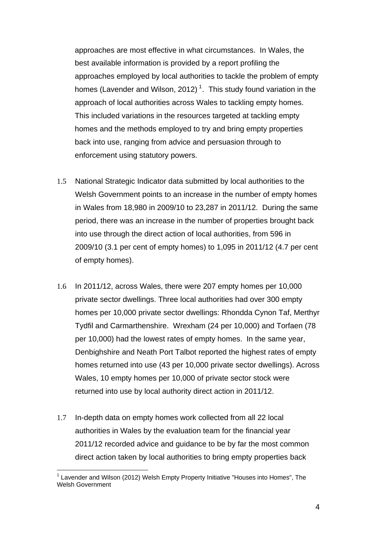approaches are most effective in what circumstances. In Wales, the best available information is provided by a report profiling the approaches employed by local authorities to tackle the problem of empty homes (Lavender and Wilson, 20[1](#page-4-0)2)<sup>1</sup>. This study found variation in the approach of local authorities across Wales to tackling empty homes. This included variations in the resources targeted at tackling empty homes and the methods employed to try and bring empty properties back into use, ranging from advice and persuasion through to enforcement using statutory powers.

- 1.5 National Strategic Indicator data submitted by local authorities to the Welsh Government points to an increase in the number of empty homes in Wales from 18,980 in 2009/10 to 23,287 in 2011/12. During the same period, there was an increase in the number of properties brought back into use through the direct action of local authorities, from 596 in 2009/10 (3.1 per cent of empty homes) to 1,095 in 2011/12 (4.7 per cent of empty homes).
- 1.6 In 2011/12, across Wales, there were 207 empty homes per 10,000 private sector dwellings. Three local authorities had over 300 empty homes per 10,000 private sector dwellings: Rhondda Cynon Taf, Merthyr Tydfil and Carmarthenshire. Wrexham (24 per 10,000) and Torfaen (78 per 10,000) had the lowest rates of empty homes. In the same year, Denbighshire and Neath Port Talbot reported the highest rates of empty homes returned into use (43 per 10,000 private sector dwellings). Across Wales, 10 empty homes per 10,000 of private sector stock were returned into use by local authority direct action in 2011/12.
- 1.7 In-depth data on empty homes work collected from all 22 local authorities in Wales by the evaluation team for the financial year 2011/12 recorded advice and guidance to be by far the most common direct action taken by local authorities to bring empty properties back

<span id="page-4-0"></span> $\overline{a}$ <sup>1</sup> Lavender and Wilson (2012) Welsh Empty Property Initiative "Houses into Homes", The Welsh Government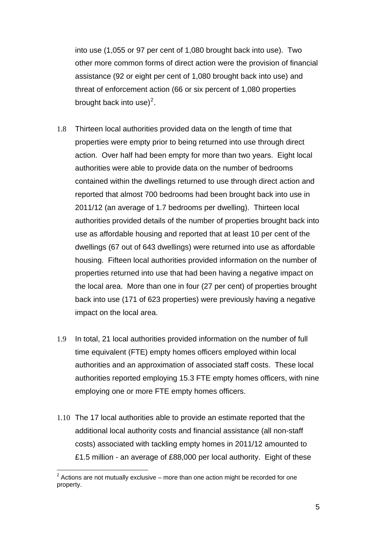into use (1,055 or 97 per cent of 1,080 brought back into use). Two other more common forms of direct action were the provision of financial assistance (92 or eight per cent of 1,080 brought back into use) and threat of enforcement action (66 or six percent of 1,080 properties brought back into use)<sup>[2](#page-5-0)</sup>.

- 1.8 Thirteen local authorities provided data on the length of time that properties were empty prior to being returned into use through direct action. Over half had been empty for more than two years. Eight local authorities were able to provide data on the number of bedrooms contained within the dwellings returned to use through direct action and reported that almost 700 bedrooms had been brought back into use in 2011/12 (an average of 1.7 bedrooms per dwelling). Thirteen local authorities provided details of the number of properties brought back into use as affordable housing and reported that at least 10 per cent of the dwellings (67 out of 643 dwellings) were returned into use as affordable housing. Fifteen local authorities provided information on the number of properties returned into use that had been having a negative impact on the local area. More than one in four (27 per cent) of properties brought back into use (171 of 623 properties) were previously having a negative impact on the local area.
- 1.9 In total, 21 local authorities provided information on the number of full time equivalent (FTE) empty homes officers employed within local authorities and an approximation of associated staff costs. These local authorities reported employing 15.3 FTE empty homes officers, with nine employing one or more FTE empty homes officers.
- 1.10 The 17 local authorities able to provide an estimate reported that the additional local authority costs and financial assistance (all non-staff costs) associated with tackling empty homes in 2011/12 amounted to £1.5 million - an average of £88,000 per local authority. Eight of these

<span id="page-5-0"></span> $\overline{a}$  $2$  Actions are not mutually exclusive – more than one action might be recorded for one property.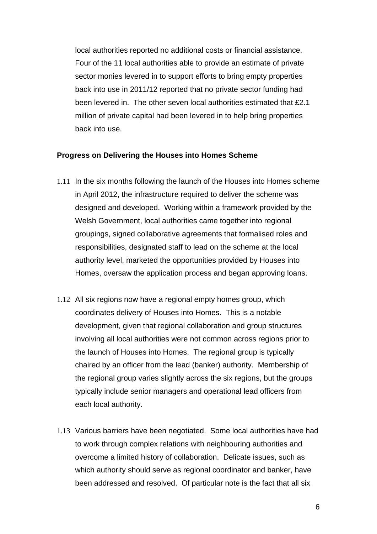local authorities reported no additional costs or financial assistance. Four of the 11 local authorities able to provide an estimate of private sector monies levered in to support efforts to bring empty properties back into use in 2011/12 reported that no private sector funding had been levered in. The other seven local authorities estimated that £2.1 million of private capital had been levered in to help bring properties back into use.

#### **Progress on Delivering the Houses into Homes Scheme**

- 1.11 In the six months following the launch of the Houses into Homes scheme in April 2012, the infrastructure required to deliver the scheme was designed and developed. Working within a framework provided by the Welsh Government, local authorities came together into regional groupings, signed collaborative agreements that formalised roles and responsibilities, designated staff to lead on the scheme at the local authority level, marketed the opportunities provided by Houses into Homes, oversaw the application process and began approving loans.
- 1.12 All six regions now have a regional empty homes group, which coordinates delivery of Houses into Homes. This is a notable development, given that regional collaboration and group structures involving all local authorities were not common across regions prior to the launch of Houses into Homes. The regional group is typically chaired by an officer from the lead (banker) authority. Membership of the regional group varies slightly across the six regions, but the groups typically include senior managers and operational lead officers from each local authority.
- 1.13 Various barriers have been negotiated. Some local authorities have had to work through complex relations with neighbouring authorities and overcome a limited history of collaboration. Delicate issues, such as which authority should serve as regional coordinator and banker, have been addressed and resolved. Of particular note is the fact that all six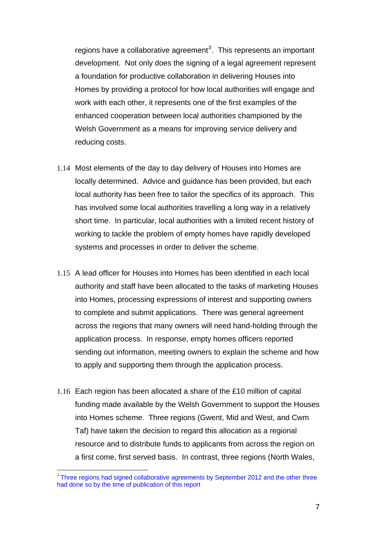<span id="page-7-0"></span>regions have a collaborative agreement<sup>[3](#page-7-0)</sup>. This represents an important development. Not only does the signing of a legal agreement represent a foundation for productive collaboration in delivering Houses into Homes by providing a protocol for how local authorities will engage and work with each other, it represents one of the first examples of the enhanced cooperation between local authorities championed by the Welsh Government as a means for improving service delivery and reducing costs.

- 1.14 Most elements of the day to day delivery of Houses into Homes are locally determined. Advice and guidance has been provided, but each local authority has been free to tailor the specifics of its approach. This has involved some local authorities travelling a long way in a relatively short time. In particular, local authorities with a limited recent history of working to tackle the problem of empty homes have rapidly developed systems and processes in order to deliver the scheme.
- 1.15 A lead officer for Houses into Homes has been identified in each local authority and staff have been allocated to the tasks of marketing Houses into Homes, processing expressions of interest and supporting owners to complete and submit applications. There was general agreement across the regions that many owners will need hand-holding through the application process. In response, empty homes officers reported sending out information, meeting owners to explain the scheme and how to apply and supporting them through the application process.
- 1.16 Each region has been allocated a share of the £10 million of capital funding made available by the Welsh Government to support the Houses into Homes scheme. Three regions (Gwent, Mid and West, and Cwm Taf) have taken the decision to regard this allocation as a regional resource and to distribute funds to applicants from across the region on a first come, first served basis. In contrast, three regions (North Wales,

 $\overline{a}$ 

<sup>&</sup>lt;sup>3</sup> Three regions had signed collaborative agreements by September 2012 and the other three had done so by the time of publication of this report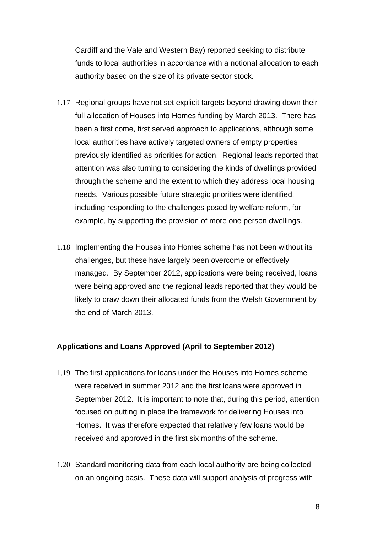Cardiff and the Vale and Western Bay) reported seeking to distribute funds to local authorities in accordance with a notional allocation to each authority based on the size of its private sector stock.

- 1.17 Regional groups have not set explicit targets beyond drawing down their full allocation of Houses into Homes funding by March 2013. There has been a first come, first served approach to applications, although some local authorities have actively targeted owners of empty properties previously identified as priorities for action. Regional leads reported that attention was also turning to considering the kinds of dwellings provided through the scheme and the extent to which they address local housing needs. Various possible future strategic priorities were identified, including responding to the challenges posed by welfare reform, for example, by supporting the provision of more one person dwellings.
- 1.18 Implementing the Houses into Homes scheme has not been without its challenges, but these have largely been overcome or effectively managed. By September 2012, applications were being received, loans were being approved and the regional leads reported that they would be likely to draw down their allocated funds from the Welsh Government by the end of March 2013.

### **Applications and Loans Approved (April to September 2012)**

- 1.19 The first applications for loans under the Houses into Homes scheme were received in summer 2012 and the first loans were approved in September 2012. It is important to note that, during this period, attention focused on putting in place the framework for delivering Houses into Homes. It was therefore expected that relatively few loans would be received and approved in the first six months of the scheme.
- 1.20 Standard monitoring data from each local authority are being collected on an ongoing basis. These data will support analysis of progress with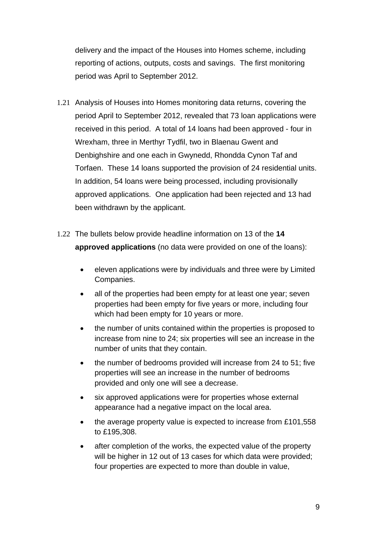delivery and the impact of the Houses into Homes scheme, including reporting of actions, outputs, costs and savings. The first monitoring period was April to September 2012.

- 1.21 Analysis of Houses into Homes monitoring data returns, covering the period April to September 2012, revealed that 73 loan applications were received in this period. A total of 14 loans had been approved - four in Wrexham, three in Merthyr Tydfil, two in Blaenau Gwent and Denbighshire and one each in Gwynedd, Rhondda Cynon Taf and Torfaen. These 14 loans supported the provision of 24 residential units. In addition, 54 loans were being processed, including provisionally approved applications. One application had been rejected and 13 had been withdrawn by the applicant.
- 1.22 The bullets below provide headline information on 13 of the **14 approved applications** (no data were provided on one of the loans):
	- eleven applications were by individuals and three were by Limited Companies.
	- all of the properties had been empty for at least one year; seven properties had been empty for five years or more, including four which had been empty for 10 years or more.
	- the number of units contained within the properties is proposed to increase from nine to 24; six properties will see an increase in the number of units that they contain.
	- the number of bedrooms provided will increase from 24 to 51; five properties will see an increase in the number of bedrooms provided and only one will see a decrease.
	- six approved applications were for properties whose external appearance had a negative impact on the local area.
	- the average property value is expected to increase from £101,558 to £195,308.
	- after completion of the works, the expected value of the property will be higher in 12 out of 13 cases for which data were provided; four properties are expected to more than double in value,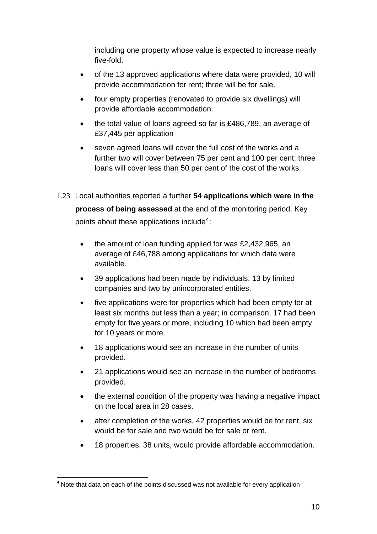<span id="page-10-0"></span>including one property whose value is expected to increase nearly five-fold.

- of the 13 approved applications where data were provided, 10 will provide accommodation for rent; three will be for sale.
- four empty properties (renovated to provide six dwellings) will provide affordable accommodation.
- the total value of loans agreed so far is £486,789, an average of £37,445 per application
- seven agreed loans will cover the full cost of the works and a further two will cover between 75 per cent and 100 per cent; three loans will cover less than 50 per cent of the cost of the works.

### 1.23 Local authorities reported a further **54 applications which were in the**

**process of being assessed** at the end of the monitoring period. Key points about these applications include<sup>[4](#page-10-0)</sup>:

- the amount of loan funding applied for was £2,432,965, an average of £46,788 among applications for which data were available.
- 39 applications had been made by individuals, 13 by limited companies and two by unincorporated entities.
- five applications were for properties which had been empty for at least six months but less than a year; in comparison, 17 had been empty for five years or more, including 10 which had been empty for 10 years or more.
- 18 applications would see an increase in the number of units provided.
- 21 applications would see an increase in the number of bedrooms provided.
- the external condition of the property was having a negative impact on the local area in 28 cases.
- after completion of the works, 42 properties would be for rent, six would be for sale and two would be for sale or rent.
- 18 properties, 38 units, would provide affordable accommodation.

 4 Note that data on each of the points discussed was not available for every application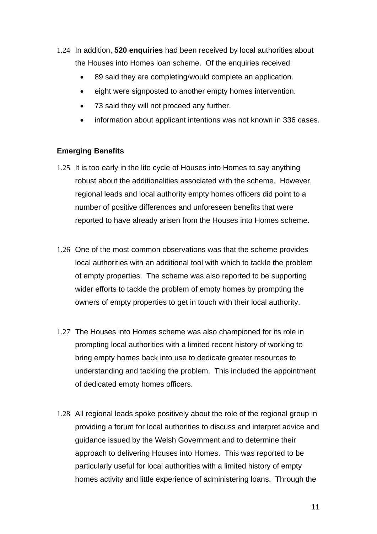- 1.24 In addition, **520 enquiries** had been received by local authorities about the Houses into Homes loan scheme. Of the enquiries received:
	- 89 said they are completing/would complete an application.
	- eight were signposted to another empty homes intervention.
	- 73 said they will not proceed any further.
	- information about applicant intentions was not known in 336 cases.

### **Emerging Benefits**

- 1.25 It is too early in the life cycle of Houses into Homes to say anything robust about the additionalities associated with the scheme. However, regional leads and local authority empty homes officers did point to a number of positive differences and unforeseen benefits that were reported to have already arisen from the Houses into Homes scheme.
- 1.26 One of the most common observations was that the scheme provides local authorities with an additional tool with which to tackle the problem of empty properties. The scheme was also reported to be supporting wider efforts to tackle the problem of empty homes by prompting the owners of empty properties to get in touch with their local authority.
- 1.27 The Houses into Homes scheme was also championed for its role in prompting local authorities with a limited recent history of working to bring empty homes back into use to dedicate greater resources to understanding and tackling the problem. This included the appointment of dedicated empty homes officers.
- 1.28 All regional leads spoke positively about the role of the regional group in providing a forum for local authorities to discuss and interpret advice and guidance issued by the Welsh Government and to determine their approach to delivering Houses into Homes. This was reported to be particularly useful for local authorities with a limited history of empty homes activity and little experience of administering loans. Through the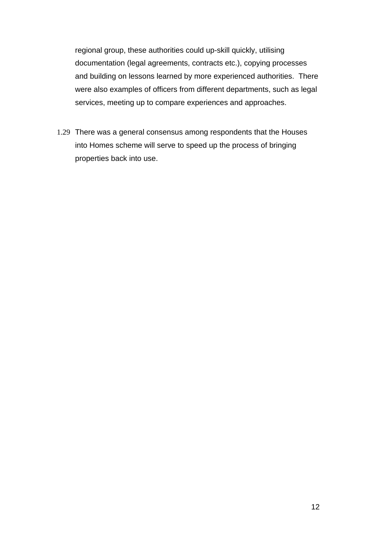regional group, these authorities could up-skill quickly, utilising documentation (legal agreements, contracts etc.), copying processes and building on lessons learned by more experienced authorities. There were also examples of officers from different departments, such as legal services, meeting up to compare experiences and approaches.

1.29 There was a general consensus among respondents that the Houses into Homes scheme will serve to speed up the process of bringing properties back into use.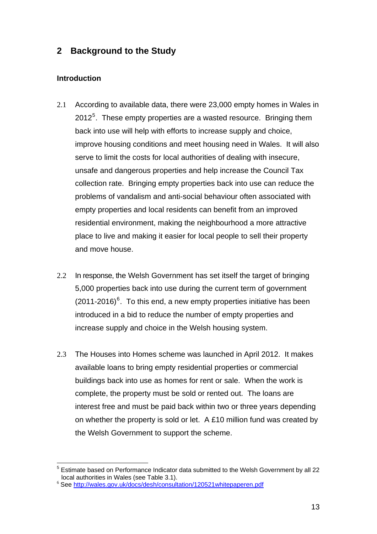### <span id="page-13-0"></span>**2 Background to the Study**

### **Introduction**

- 2.1 According to available data, there were 23,000 empty homes in Wales in 2012<sup>[5](#page-13-0)</sup>. These empty properties are a wasted resource. Bringing them back into use will help with efforts to increase supply and choice, improve housing conditions and meet housing need in Wales. It will also serve to limit the costs for local authorities of dealing with insecure, unsafe and dangerous properties and help increase the Council Tax collection rate. Bringing empty properties back into use can reduce the problems of vandalism and anti-social behaviour often associated with empty properties and local residents can benefit from an improved residential environment, making the neighbourhood a more attractive place to live and making it easier for local people to sell their property and move house.
- 2.2 In response, the Welsh Government has set itself the target of bringing 5,000 properties back into use during the current term of government  $(2011-2016)^6$  $(2011-2016)^6$  $(2011-2016)^6$ . To this end, a new empty properties initiative has been introduced in a bid to reduce the number of empty properties and increase supply and choice in the Welsh housing system.
- 2.3 The Houses into Homes scheme was launched in April 2012. It makes available loans to bring empty residential properties or commercial buildings back into use as homes for rent or sale. When the work is complete, the property must be sold or rented out. The loans are interest free and must be paid back within two or three years depending on whether the property is sold or let. A £10 million fund was created by the Welsh Government to support the scheme.

 $\overline{a}$ <sup>5</sup> Estimate based on Performance Indicator data submitted to the Welsh Government by all 22 local authorities in Wales (see Table 3.1).<br><sup>6</sup> See<http://wales.gov.uk/docs/desh/consultation/120521whitepaperen.pdf>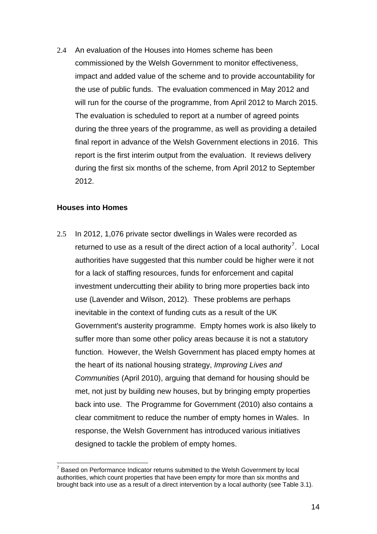<span id="page-14-0"></span>2.4 An evaluation of the Houses into Homes scheme has been commissioned by the Welsh Government to monitor effectiveness, impact and added value of the scheme and to provide accountability for the use of public funds. The evaluation commenced in May 2012 and will run for the course of the programme, from April 2012 to March 2015. The evaluation is scheduled to report at a number of agreed points during the three years of the programme, as well as providing a detailed final report in advance of the Welsh Government elections in 2016. This report is the first interim output from the evaluation. It reviews delivery during the first six months of the scheme, from April 2012 to September 2012.

#### **Houses into Homes**

2.5 In 2012, 1,076 private sector dwellings in Wales were recorded as returned to use as a result of the direct action of a local authority<sup>[7](#page-14-0)</sup>. Local authorities have suggested that this number could be higher were it not for a lack of staffing resources, funds for enforcement and capital investment undercutting their ability to bring more properties back into use (Lavender and Wilson, 2012). These problems are perhaps inevitable in the context of funding cuts as a result of the UK Government's austerity programme. Empty homes work is also likely to suffer more than some other policy areas because it is not a statutory function. However, the Welsh Government has placed empty homes at the heart of its national housing strategy, *Improving Lives and Communities* (April 2010), arguing that demand for housing should be met, not just by building new houses, but by bringing empty properties back into use. The Programme for Government (2010) also contains a clear commitment to reduce the number of empty homes in Wales. In response, the Welsh Government has introduced various initiatives designed to tackle the problem of empty homes.

 $\overline{a}$  $7$  Based on Performance Indicator returns submitted to the Welsh Government by local authorities, which count properties that have been empty for more than six months and brought back into use as a result of a direct intervention by a local authority (see Table 3.1).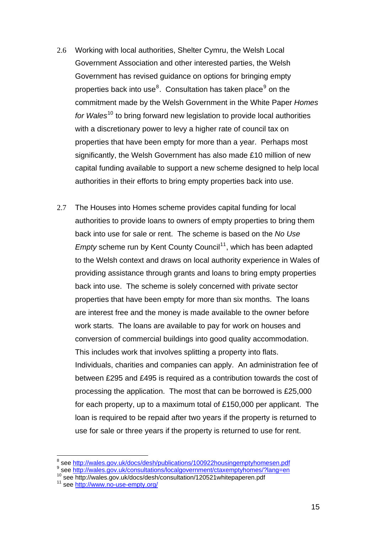- <span id="page-15-0"></span>2.6 Working with local authorities, Shelter Cymru, the Welsh Local Government Association and other interested parties, the Welsh Government has revised guidance on options for bringing empty properties back into use<sup>[8](#page-15-0)</sup>. Consultation has taken place<sup>[9](#page-15-0)</sup> on the commitment made by the Welsh Government in the White Paper *Homes for Wales*<sup>[10](#page-15-0)</sup> to bring forward new legislation to provide local authorities with a discretionary power to levy a higher rate of council tax on properties that have been empty for more than a year. Perhaps most significantly, the Welsh Government has also made £10 million of new capital funding available to support a new scheme designed to help local authorities in their efforts to bring empty properties back into use.
- 2.7 The Houses into Homes scheme provides capital funding for local authorities to provide loans to owners of empty properties to bring them back into use for sale or rent. The scheme is based on the *No Use Empty* scheme run by Kent County Council<sup>[11](#page-15-0)</sup>, which has been adapted to the Welsh context and draws on local authority experience in Wales of providing assistance through grants and loans to bring empty properties back into use. The scheme is solely concerned with private sector properties that have been empty for more than six months. The loans are interest free and the money is made available to the owner before work starts. The loans are available to pay for work on houses and conversion of commercial buildings into good quality accommodation. This includes work that involves splitting a property into flats. Individuals, charities and companies can apply. An administration fee of between £295 and £495 is required as a contribution towards the cost of processing the application. The most that can be borrowed is £25,000 for each property, up to a maximum total of £150,000 per applicant. The loan is required to be repaid after two years if the property is returned to use for sale or three years if the property is returned to use for rent.

 8

see http://wales.gov.uk/consultations/localgovernment/ctaxemptyhomes/?lang=en

se[e](http://wales.gov.uk/consultations/localgovernment/ctaxemptyhomes/?lang=en) [http://wales.gov.uk/docs/desh](http://www.no-use-empty.org/)/consultation/120521whitepaperen.pdf<br>
<sup>11</sup> see <http://www.no-use-empty.org/>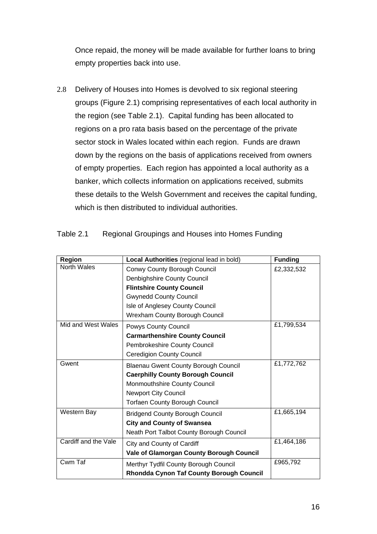Once repaid, the money will be made available for further loans to bring empty properties back into use.

2.8 Delivery of Houses into Homes is devolved to six regional steering groups (Figure 2.1) comprising representatives of each local authority in the region (see Table 2.1). Capital funding has been allocated to regions on a pro rata basis based on the percentage of the private sector stock in Wales located within each region. Funds are drawn down by the regions on the basis of applications received from owners of empty properties. Each region has appointed a local authority as a banker, which collects information on applications received, submits these details to the Welsh Government and receives the capital funding, which is then distributed to individual authorities.

| <b>Region</b>        | Local Authorities (regional lead in bold)   | <b>Funding</b> |
|----------------------|---------------------------------------------|----------------|
| <b>North Wales</b>   | Conwy County Borough Council                | £2,332,532     |
|                      | Denbighshire County Council                 |                |
|                      | <b>Flintshire County Council</b>            |                |
|                      | <b>Gwynedd County Council</b>               |                |
|                      | Isle of Anglesey County Council             |                |
|                      | <b>Wrexham County Borough Council</b>       |                |
| Mid and West Wales   | Powys County Council                        | £1,799,534     |
|                      | <b>Carmarthenshire County Council</b>       |                |
|                      | Pembrokeshire County Council                |                |
|                      | <b>Ceredigion County Council</b>            |                |
| Gwent                | <b>Blaenau Gwent County Borough Council</b> | £1,772,762     |
|                      | <b>Caerphilly County Borough Council</b>    |                |
|                      | Monmouthshire County Council                |                |
|                      | <b>Newport City Council</b>                 |                |
|                      | <b>Torfaen County Borough Council</b>       |                |
| Western Bay          | <b>Bridgend County Borough Council</b>      | £1,665,194     |
|                      | <b>City and County of Swansea</b>           |                |
|                      | Neath Port Talbot County Borough Council    |                |
| Cardiff and the Vale | City and County of Cardiff                  | £1,464,186     |
|                      | Vale of Glamorgan County Borough Council    |                |
| Cwm Taf              | Merthyr Tydfil County Borough Council       | £965,792       |
|                      | Rhondda Cynon Taf County Borough Council    |                |

### Table 2.1 Regional Groupings and Houses into Homes Funding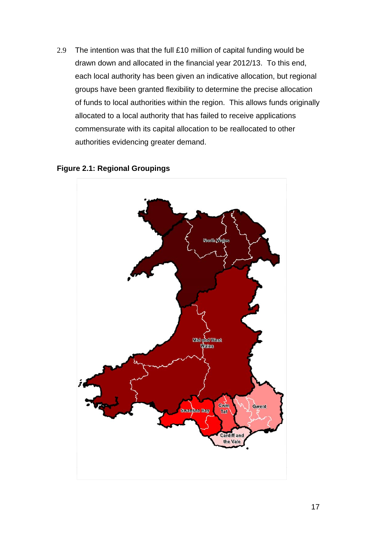2.9 The intention was that the full £10 million of capital funding would be drawn down and allocated in the financial year 2012/13. To this end, each local authority has been given an indicative allocation, but regional groups have been granted flexibility to determine the precise allocation of funds to local authorities within the region. This allows funds originally allocated to a local authority that has failed to receive applications commensurate with its capital allocation to be reallocated to other authorities evidencing greater demand.



### **Figure 2.1: Regional Groupings**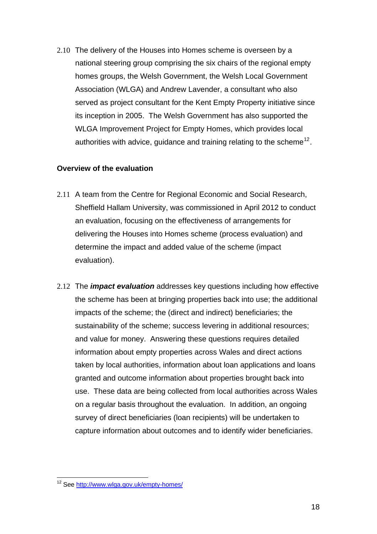<span id="page-18-0"></span>2.10 The delivery of the Houses into Homes scheme is overseen by a national steering group comprising the six chairs of the regional empty homes groups, the Welsh Government, the Welsh Local Government Association (WLGA) and Andrew Lavender, a consultant who also served as project consultant for the Kent Empty Property initiative since its inception in 2005. The Welsh Government has also supported the WLGA Improvement Project for Empty Homes, which provides local authorities with advice, guidance and training relating to the scheme<sup>[12](#page-18-0)</sup>.

### **Overview of the evaluation**

- 2.11 A team from the Centre for Regional Economic and Social Research, Sheffield Hallam University, was commissioned in April 2012 to conduct an evaluation, focusing on the effectiveness of arrangements for delivering the Houses into Homes scheme (process evaluation) and determine the impact and added value of the scheme (impact evaluation).
- 2.12 The *impact evaluation* addresses key questions including how effective the scheme has been at bringing properties back into use; the additional impacts of the scheme; the (direct and indirect) beneficiaries; the sustainability of the scheme; success levering in additional resources; and value for money. Answering these questions requires detailed information about empty properties across Wales and direct actions taken by local authorities, information about loan applications and loans granted and outcome information about properties brought back into use. These data are being collected from local authorities across Wales on a regular basis throughout the evaluation. In addition, an ongoing survey of direct beneficiaries (loan recipients) will be undertaken to capture information about outcomes and to identify wider beneficiaries.

 $\overline{a}$ <sup>12</sup> See http://www.wlga.gov.uk/empty-homes/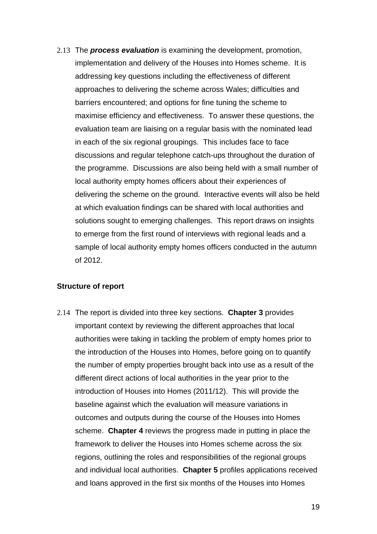2.13 The *process evaluation* is examining the development, promotion, implementation and delivery of the Houses into Homes scheme. It is addressing key questions including the effectiveness of different approaches to delivering the scheme across Wales; difficulties and barriers encountered; and options for fine tuning the scheme to maximise efficiency and effectiveness. To answer these questions, the evaluation team are liaising on a regular basis with the nominated lead in each of the six regional groupings. This includes face to face discussions and regular telephone catch-ups throughout the duration of the programme. Discussions are also being held with a small number of local authority empty homes officers about their experiences of delivering the scheme on the ground. Interactive events will also be held at which evaluation findings can be shared with local authorities and solutions sought to emerging challenges. This report draws on insights to emerge from the first round of interviews with regional leads and a sample of local authority empty homes officers conducted in the autumn of 2012.

### **Structure of report**

2.14 The report is divided into three key sections. **Chapter 3** provides important context by reviewing the different approaches that local authorities were taking in tackling the problem of empty homes prior to the introduction of the Houses into Homes, before going on to quantify the number of empty properties brought back into use as a result of the different direct actions of local authorities in the year prior to the introduction of Houses into Homes (2011/12). This will provide the baseline against which the evaluation will measure variations in outcomes and outputs during the course of the Houses into Homes scheme. **Chapter 4** reviews the progress made in putting in place the framework to deliver the Houses into Homes scheme across the six regions, outlining the roles and responsibilities of the regional groups and individual local authorities. **Chapter 5** profiles applications received and loans approved in the first six months of the Houses into Homes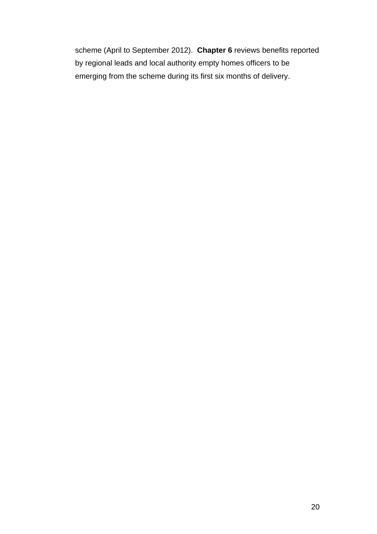scheme (April to September 2012). **Chapter 6** reviews benefits reported by regional leads and local authority empty homes officers to be emerging from the scheme during its first six months of delivery.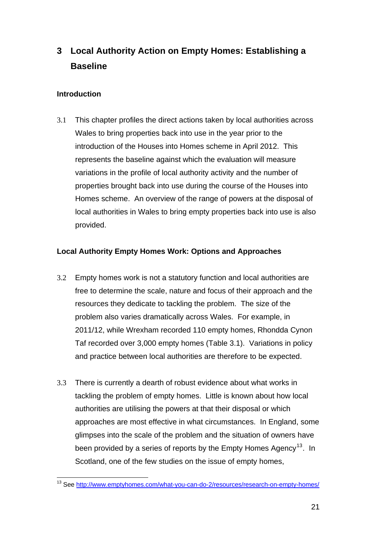## <span id="page-21-0"></span>**3 Local Authority Action on Empty Homes: Establishing a Baseline**

### **Introduction**

3.1 This chapter profiles the direct actions taken by local authorities across Wales to bring properties back into use in the year prior to the introduction of the Houses into Homes scheme in April 2012. This represents the baseline against which the evaluation will measure variations in the profile of local authority activity and the number of properties brought back into use during the course of the Houses into Homes scheme. An overview of the range of powers at the disposal of local authorities in Wales to bring empty properties back into use is also provided.

### **Local Authority Empty Homes Work: Options and Approaches**

- 3.2 Empty homes work is not a statutory function and local authorities are free to determine the scale, nature and focus of their approach and the resources they dedicate to tackling the problem. The size of the problem also varies dramatically across Wales. For example, in 2011/12, while Wrexham recorded 110 empty homes, Rhondda Cynon Taf recorded over 3,000 empty homes (Table 3.1). Variations in policy and practice between local authorities are therefore to be expected.
- 3.3 There is currently a dearth of robust evidence about what works in tackling the problem of empty homes. Little is known about how local authorities are utilising the powers at that their disposal or which approaches are most effective in what circumstances. In England, some glimpses into the scale of the problem and the situation of owners have been provided by a series of reports by the Empty Homes Agency<sup>[13](#page-21-0)</sup>. In Scotland, one of the few studies on the issue of empty homes,

 $\overline{a}$ <sup>13</sup> See<http://www.emptyhomes.com/what-you-can-do-2/resources/research-on-empty-homes/>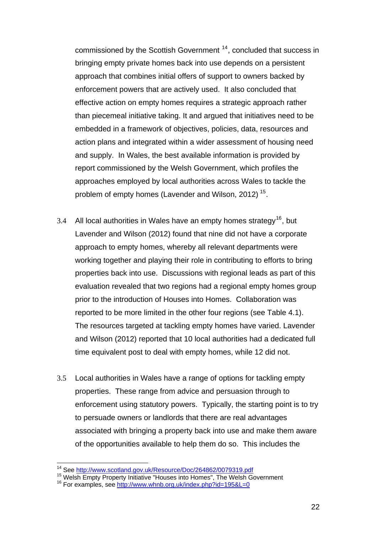<span id="page-22-0"></span>commissioned by the Scottish Government<sup>[14](#page-22-0)</sup>, concluded that success in bringing empty private homes back into use depends on a persistent approach that combines initial offers of support to owners backed by enforcement powers that are actively used. It also concluded that effective action on empty homes requires a strategic approach rather than piecemeal initiative taking. It and argued that initiatives need to be embedded in a framework of objectives, policies, data, resources and action plans and integrated within a wider assessment of housing need and supply. In Wales, the best available information is provided by report commissioned by the Welsh Government, which profiles the approaches employed by local authorities across Wales to tackle the problem of empty homes (Lavender and Wilson, 2012)<sup>[15](#page-22-0)</sup>.

- 3.4 All local authorities in Wales have an empty homes strategy<sup>[16](#page-22-0)</sup>, but Lavender and Wilson (2012) found that nine did not have a corporate approach to empty homes, whereby all relevant departments were working together and playing their role in contributing to efforts to bring properties back into use. Discussions with regional leads as part of this evaluation revealed that two regions had a regional empty homes group prior to the introduction of Houses into Homes. Collaboration was reported to be more limited in the other four regions (see Table 4.1). The resources targeted at tackling empty homes have varied. Lavender and Wilson (2012) reported that 10 local authorities had a dedicated full time equivalent post to deal with empty homes, while 12 did not.
- 3.5 Local authorities in Wales have a range of options for tackling empty properties. These range from advice and persuasion through to enforcement using statutory powers. Typically, the starting point is to try to persuade owners or landlords that there are real advantages associated with bringing a property back into use and make them aware of the opportunities available to help them do so. This includes the

<sup>&</sup>lt;sup>14</sup> See http://www.scotland.gov.uk/Resource/Doc/264862/0079319.pdf

<sup>&</sup>lt;sup>15</sup> Wel[sh Empty Property Initiative "Houses into Homes", The Welsh Go](http://www.scotland.gov.uk/Resource/Doc/264862/0079319.pdf)vernment

<sup>&</sup>lt;sup>16</sup> For examples, see <http://www.whnb.org.uk/index.php?id=195&L=0>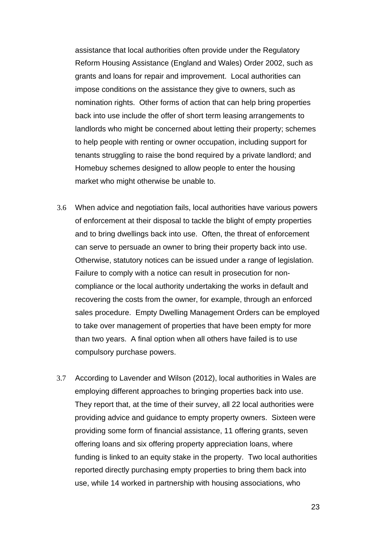assistance that local authorities often provide under the Regulatory Reform Housing Assistance (England and Wales) Order 2002, such as grants and loans for repair and improvement. Local authorities can impose conditions on the assistance they give to owners, such as nomination rights. Other forms of action that can help bring properties back into use include the offer of short term leasing arrangements to landlords who might be concerned about letting their property; schemes to help people with renting or owner occupation, including support for tenants struggling to raise the bond required by a private landlord; and Homebuy schemes designed to allow people to enter the housing market who might otherwise be unable to.

- 3.6 When advice and negotiation fails, local authorities have various powers of enforcement at their disposal to tackle the blight of empty properties and to bring dwellings back into use. Often, the threat of enforcement can serve to persuade an owner to bring their property back into use. Otherwise, statutory notices can be issued under a range of legislation. Failure to comply with a notice can result in prosecution for noncompliance or the local authority undertaking the works in default and recovering the costs from the owner, for example, through an enforced sales procedure. Empty Dwelling Management Orders can be employed to take over management of properties that have been empty for more than two years. A final option when all others have failed is to use compulsory purchase powers.
- 3.7 According to Lavender and Wilson (2012), local authorities in Wales are employing different approaches to bringing properties back into use. They report that, at the time of their survey, all 22 local authorities were providing advice and guidance to empty property owners. Sixteen were providing some form of financial assistance, 11 offering grants, seven offering loans and six offering property appreciation loans, where funding is linked to an equity stake in the property. Two local authorities reported directly purchasing empty properties to bring them back into use, while 14 worked in partnership with housing associations, who

23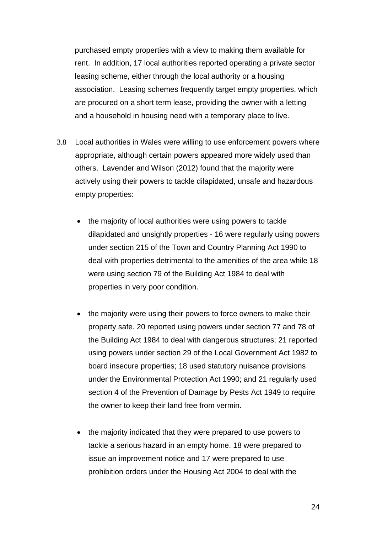purchased empty properties with a view to making them available for rent. In addition, 17 local authorities reported operating a private sector leasing scheme, either through the local authority or a housing association. Leasing schemes frequently target empty properties, which are procured on a short term lease, providing the owner with a letting and a household in housing need with a temporary place to live.

- 3.8 Local authorities in Wales were willing to use enforcement powers where appropriate, although certain powers appeared more widely used than others. Lavender and Wilson (2012) found that the majority were actively using their powers to tackle dilapidated, unsafe and hazardous empty properties:
	- the majority of local authorities were using powers to tackle dilapidated and unsightly properties - 16 were regularly using powers under section 215 of the Town and Country Planning Act 1990 to deal with properties detrimental to the amenities of the area while 18 were using section 79 of the Building Act 1984 to deal with properties in very poor condition.
	- the majority were using their powers to force owners to make their property safe. 20 reported using powers under section 77 and 78 of the Building Act 1984 to deal with dangerous structures; 21 reported using powers under section 29 of the Local Government Act 1982 to board insecure properties; 18 used statutory nuisance provisions under the Environmental Protection Act 1990; and 21 regularly used section 4 of the Prevention of Damage by Pests Act 1949 to require the owner to keep their land free from vermin.
	- the majority indicated that they were prepared to use powers to tackle a serious hazard in an empty home. 18 were prepared to issue an improvement notice and 17 were prepared to use prohibition orders under the Housing Act 2004 to deal with the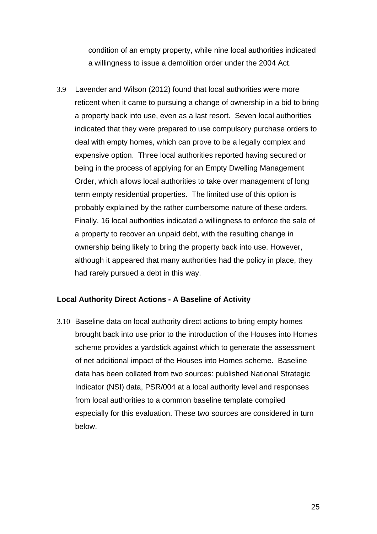condition of an empty property, while nine local authorities indicated a willingness to issue a demolition order under the 2004 Act.

3.9 Lavender and Wilson (2012) found that local authorities were more reticent when it came to pursuing a change of ownership in a bid to bring a property back into use, even as a last resort. Seven local authorities indicated that they were prepared to use compulsory purchase orders to deal with empty homes, which can prove to be a legally complex and expensive option. Three local authorities reported having secured or being in the process of applying for an Empty Dwelling Management Order, which allows local authorities to take over management of long term empty residential properties. The limited use of this option is probably explained by the rather cumbersome nature of these orders. Finally, 16 local authorities indicated a willingness to enforce the sale of a property to recover an unpaid debt, with the resulting change in ownership being likely to bring the property back into use. However, although it appeared that many authorities had the policy in place, they had rarely pursued a debt in this way.

### **Local Authority Direct Actions - A Baseline of Activity**

3.10 Baseline data on local authority direct actions to bring empty homes brought back into use prior to the introduction of the Houses into Homes scheme provides a yardstick against which to generate the assessment of net additional impact of the Houses into Homes scheme. Baseline data has been collated from two sources: published National Strategic Indicator (NSI) data, PSR/004 at a local authority level and responses from local authorities to a common baseline template compiled especially for this evaluation. These two sources are considered in turn below.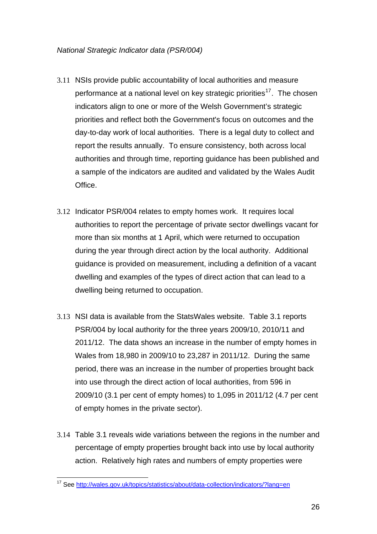- <span id="page-26-0"></span>3.11 NSIs provide public accountability of local authorities and measure performance at a national level on key strategic priorities<sup>[17](#page-26-0)</sup>. The chosen indicators align to one or more of the Welsh Government's strategic priorities and reflect both the Government's focus on outcomes and the day-to-day work of local authorities. There is a legal duty to collect and report the results annually. To ensure consistency, both across local authorities and through time, reporting guidance has been published and a sample of the indicators are audited and validated by the Wales Audit Office.
- 3.12 Indicator PSR/004 relates to empty homes work. It requires local authorities to report the percentage of private sector dwellings vacant for more than six months at 1 April, which were returned to occupation during the year through direct action by the local authority. Additional guidance is provided on measurement, including a definition of a vacant dwelling and examples of the types of direct action that can lead to a dwelling being returned to occupation.
- 3.13 NSI data is available from the StatsWales website. Table 3.1 reports PSR/004 by local authority for the three years 2009/10, 2010/11 and 2011/12. The data shows an increase in the number of empty homes in Wales from 18,980 in 2009/10 to 23,287 in 2011/12. During the same period, there was an increase in the number of properties brought back into use through the direct action of local authorities, from 596 in 2009/10 (3.1 per cent of empty homes) to 1,095 in 2011/12 (4.7 per cent of empty homes in the private sector).
- 3.14 Table 3.1 reveals wide variations between the regions in the number and percentage of empty properties brought back into use by local authority action. Relatively high rates and numbers of empty properties were

 $\overline{a}$ <sup>17</sup> See<http://wales.gov.uk/topics/statistics/about/data-collection/indicators/?lang=en>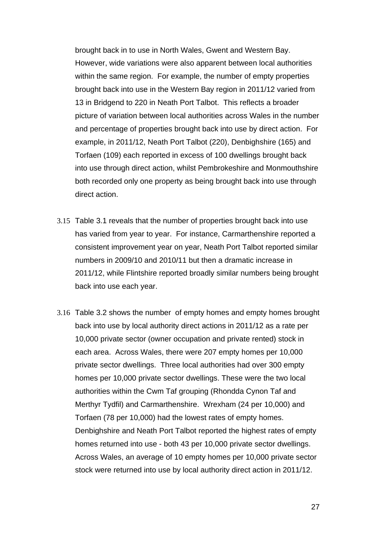brought back in to use in North Wales, Gwent and Western Bay. However, wide variations were also apparent between local authorities within the same region. For example, the number of empty properties brought back into use in the Western Bay region in 2011/12 varied from 13 in Bridgend to 220 in Neath Port Talbot. This reflects a broader picture of variation between local authorities across Wales in the number and percentage of properties brought back into use by direct action. For example, in 2011/12, Neath Port Talbot (220), Denbighshire (165) and Torfaen (109) each reported in excess of 100 dwellings brought back into use through direct action, whilst Pembrokeshire and Monmouthshire both recorded only one property as being brought back into use through direct action.

- 3.15 Table 3.1 reveals that the number of properties brought back into use has varied from year to year. For instance, Carmarthenshire reported a consistent improvement year on year, Neath Port Talbot reported similar numbers in 2009/10 and 2010/11 but then a dramatic increase in 2011/12, while Flintshire reported broadly similar numbers being brought back into use each year.
- 3.16 Table 3.2 shows the number of empty homes and empty homes brought back into use by local authority direct actions in 2011/12 as a rate per 10,000 private sector (owner occupation and private rented) stock in each area. Across Wales, there were 207 empty homes per 10,000 private sector dwellings. Three local authorities had over 300 empty homes per 10,000 private sector dwellings. These were the two local authorities within the Cwm Taf grouping (Rhondda Cynon Taf and Merthyr Tydfil) and Carmarthenshire. Wrexham (24 per 10,000) and Torfaen (78 per 10,000) had the lowest rates of empty homes. Denbighshire and Neath Port Talbot reported the highest rates of empty homes returned into use - both 43 per 10,000 private sector dwellings. Across Wales, an average of 10 empty homes per 10,000 private sector stock were returned into use by local authority direct action in 2011/12.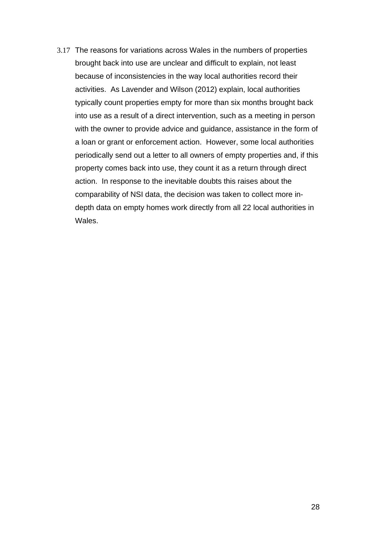3.17 The reasons for variations across Wales in the numbers of properties brought back into use are unclear and difficult to explain, not least because of inconsistencies in the way local authorities record their activities. As Lavender and Wilson (2012) explain, local authorities typically count properties empty for more than six months brought back into use as a result of a direct intervention, such as a meeting in person with the owner to provide advice and guidance, assistance in the form of a loan or grant or enforcement action. However, some local authorities periodically send out a letter to all owners of empty properties and, if this property comes back into use, they count it as a return through direct action. In response to the inevitable doubts this raises about the comparability of NSI data, the decision was taken to collect more indepth data on empty homes work directly from all 22 local authorities in Wales.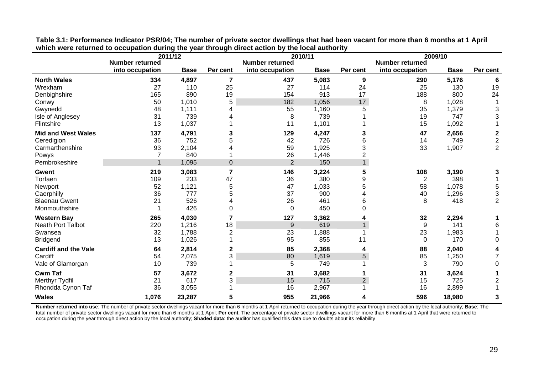|                             | <b>Number returned</b> | 2011/12     |                 | <b>Number returned</b> | 2010/11     |                | <b>Number returned</b> | 2009/10     |                           |
|-----------------------------|------------------------|-------------|-----------------|------------------------|-------------|----------------|------------------------|-------------|---------------------------|
|                             | into occupation        | <b>Base</b> | Per cent        | into occupation        | <b>Base</b> | Per cent       | into occupation        | <b>Base</b> | Per cent                  |
| <b>North Wales</b>          | 334                    | 4,897       | $\overline{7}$  | 437                    | 5,083       | 9              | 290                    | 5,176       | 6                         |
| Wrexham                     | 27                     | 110         | 25              | 27                     | 114         | 24             | 25                     | 130         | 19                        |
| Denbighshire                | 165                    | 890         | 19              | 154                    | 913         | 17             | 188                    | 800         | 24                        |
| Conwy                       | 50                     | 1,010       | 5               | 182                    | 1,056       | 17             | 8                      | 1,028       |                           |
| Gwynedd                     | 48                     | 1,111       | Δ               | 55                     | 1,160       | 5              | 35                     | 1,379       | $\ensuremath{\mathsf{3}}$ |
| Isle of Anglesey            | 31                     | 739         |                 | 8                      | 739         |                | 19                     | 747         | 3                         |
| Flintshire                  | 13                     | 1,037       |                 | 11                     | 1,101       |                | 15                     | 1,092       |                           |
| <b>Mid and West Wales</b>   | 137                    | 4,791       | 3               | 129                    | 4,247       | 3              | 47                     | 2,656       | $\boldsymbol{2}$          |
| Ceredigion                  | 36                     | 752         | 5               | 42                     | 726         | 6              | 14                     | 749         | $\overline{c}$            |
| Carmarthenshire             | 93                     | 2,104       |                 | 59                     | 1,925       | 3              | 33                     | 1,907       | $\overline{2}$            |
| Powys                       | 7                      | 840         |                 | 26                     | 1,446       | 2              |                        |             |                           |
| Pembrokeshire               | $\overline{1}$         | 1,095       | $\overline{0}$  | $\overline{2}$         | 150         | $\mathbf{1}$   |                        |             |                           |
| Gwent                       | 219                    | 3,083       | $\overline{7}$  | 146                    | 3,224       | 5              | 108                    | 3,190       | 3                         |
| Torfaen                     | 109                    | 233         | 47              | 36                     | 380         | 9              | $\overline{2}$         | 398         |                           |
| Newport                     | 52                     | 1,121       | 5               | 47                     | 1,033       | 5              | 58                     | 1,078       | 5                         |
| Caerphilly                  | 36                     | 777         |                 | 37                     | 900         |                | 40                     | 1,296       | 3                         |
| <b>Blaenau Gwent</b>        | 21                     | 526         |                 | 26                     | 461         | 6              | 8                      | 418         | $\overline{2}$            |
| Monmouthshire               |                        | 426         | 0               | 0                      | 450         | 0              |                        |             |                           |
| <b>Western Bay</b>          | 265                    | 4,030       | 7               | 127                    | 3,362       |                | 32                     | 2,294       |                           |
| Neath Port Talbot           | 220                    | 1,216       | 18              | $9\,$                  | 619         |                | 9                      | 141         | 6                         |
| Swansea                     | 32                     | 1,788       | 2               | 23                     | 1,888       |                | 23                     | 1,983       |                           |
| <b>Bridgend</b>             | 13                     | 1,026       |                 | 95                     | 855         | 11             | 0                      | 170         | 0                         |
| <b>Cardiff and the Vale</b> | 64                     | 2,814       | 2               | 85                     | 2,368       | 4              | 88                     | 2,040       | 4                         |
| Cardiff                     | 54                     | 2,075       | 3               | 80                     | 1,619       | 5              | 85                     | 1,250       | 7                         |
| Vale of Glamorgan           | 10                     | 739         |                 | 5                      | 749         |                | 3                      | 790         | $\mathbf 0$               |
| <b>Cwm Taf</b>              | 57                     | 3,672       | 2               | 31                     | 3,682       |                | 31                     | 3,624       |                           |
| Merthyr Tydfil              | 21                     | 617         | 3               | 15                     | 715         | $\overline{2}$ | 15                     | 725         | $\overline{2}$            |
| Rhondda Cynon Taf           | 36                     | 3,055       |                 | 16                     | 2,967       |                | 16                     | 2,899       |                           |
| <b>Wales</b>                | 1,076                  | 23,287      | $5\phantom{.0}$ | 955                    | 21,966      | 4              | 596                    | 18,980      | 3                         |

**Table 3.1: Performance Indicator PSR/04; The number of private sector dwellings that had been vacant for more than 6 months at 1 April which were returned to occupation during the year through direct action by the local authority** 

**Number returned into use**: The number of private sector dwellings vacant for more than 6 months at 1 April returned to occupation during the year through direct action by the local authority; **Base**: The total number of private sector dwellings vacant for more than 6 months at 1 April; **Per cent**: The percentage of private sector dwellings vacant for more than 6 months at 1 April that were returned to occupation during the year through direct action by the local authority; **Shaded data**: the auditor has qualified this data due to doubts about its reliability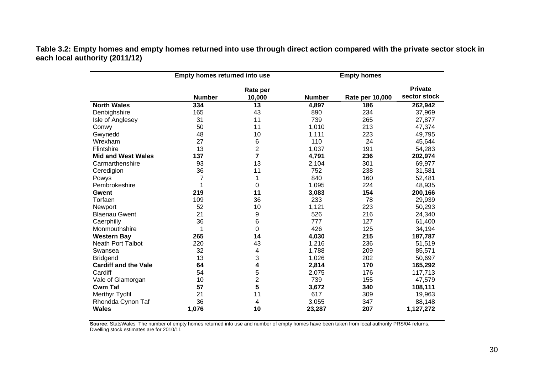**Table 3.2: Empty homes and empty homes returned into use through direct action compared with the private sector stock in each local authority (2011/12)** 

|                             | Empty homes returned into use |                    |               |                 |                                |
|-----------------------------|-------------------------------|--------------------|---------------|-----------------|--------------------------------|
|                             | <b>Number</b>                 | Rate per<br>10,000 | <b>Number</b> | Rate per 10,000 | <b>Private</b><br>sector stock |
| <b>North Wales</b>          | 334                           | 13                 | 4,897         | 186             | 262,942                        |
| Denbighshire                | 165                           | 43                 | 890           | 234             | 37,969                         |
| Isle of Anglesey            | 31                            | 11                 | 739           | 265             | 27,877                         |
| Conwy                       | 50                            | 11                 | 1,010         | 213             | 47,374                         |
| Gwynedd                     | 48                            | 10                 | 1,111         | 223             | 49,795                         |
| Wrexham                     | 27                            | 6                  | 110           | 24              | 45,644                         |
| Flintshire                  | 13                            | $\overline{2}$     | 1,037         | 191             | 54,283                         |
| <b>Mid and West Wales</b>   | 137                           | $\overline{7}$     | 4,791         | 236             | 202,974                        |
| Carmarthenshire             | 93                            | 13                 | 2,104         | 301             | 69,977                         |
| Ceredigion                  | 36                            | 11                 | 752           | 238             | 31,581                         |
| Powys                       | 7                             | 1                  | 840           | 160             | 52,481                         |
| Pembrokeshire               |                               | 0                  | 1,095         | 224             | 48,935                         |
| Gwent                       | 219                           | 11                 | 3,083         | 154             | 200,166                        |
| Torfaen                     | 109                           | 36                 | 233           | 78              | 29,939                         |
| Newport                     | 52                            | 10                 | 1,121         | 223             | 50,293                         |
| <b>Blaenau Gwent</b>        | 21                            | 9                  | 526           | 216             | 24,340                         |
| Caerphilly                  | 36                            | 6                  | 777           | 127             | 61,400                         |
| Monmouthshire               | 1                             | 0                  | 426           | 125             | 34,194                         |
| <b>Western Bay</b>          | 265                           | 14                 | 4,030         | 215             | 187,787                        |
| <b>Neath Port Talbot</b>    | 220                           | 43                 | 1,216         | 236             | 51,519                         |
| Swansea                     | 32                            | 4                  | 1,788         | 209             | 85,571                         |
| <b>Bridgend</b>             | 13                            | 3                  | 1,026         | 202             | 50,697                         |
| <b>Cardiff and the Vale</b> | 64                            | 4                  | 2,814         | 170             | 165,292                        |
| Cardiff                     | 54                            | 5                  | 2,075         | 176             | 117,713                        |
| Vale of Glamorgan           | 10                            | $\overline{2}$     | 739           | 155             | 47,579                         |
| <b>Cwm Taf</b>              | 57                            | 5                  | 3,672         | 340             | 108,111                        |
| Merthyr Tydfil              | 21                            | 11                 | 617           | 309             | 19,963                         |
| Rhondda Cynon Taf           | 36                            | 4                  | 3,055         | 347             | 88,148                         |
| <b>Wales</b>                | 1,076                         | 10                 | 23,287        | 207             | 1,127,272                      |

**Source**: StatsWales The number of empty homes returned into use and number of empty homes have been taken from local authority PRS/04 returns. Dwelling stock estimates are for 2010/11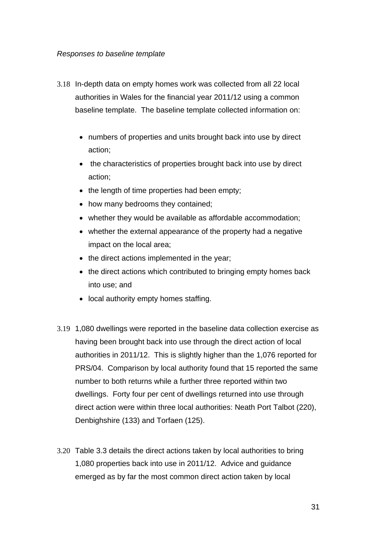#### *Responses to baseline template*

- 3.18 In-depth data on empty homes work was collected from all 22 local authorities in Wales for the financial year 2011/12 using a common baseline template. The baseline template collected information on:
	- numbers of properties and units brought back into use by direct action;
	- the characteristics of properties brought back into use by direct action;
	- the length of time properties had been empty;
	- how many bedrooms they contained;
	- whether they would be available as affordable accommodation;
	- whether the external appearance of the property had a negative impact on the local area;
	- the direct actions implemented in the year;
	- the direct actions which contributed to bringing empty homes back into use; and
	- local authority empty homes staffing.
- 3.19 1,080 dwellings were reported in the baseline data collection exercise as having been brought back into use through the direct action of local authorities in 2011/12. This is slightly higher than the 1,076 reported for PRS/04. Comparison by local authority found that 15 reported the same number to both returns while a further three reported within two dwellings. Forty four per cent of dwellings returned into use through direct action were within three local authorities: Neath Port Talbot (220), Denbighshire (133) and Torfaen (125).
- 3.20 Table 3.3 details the direct actions taken by local authorities to bring 1,080 properties back into use in 2011/12. Advice and guidance emerged as by far the most common direct action taken by local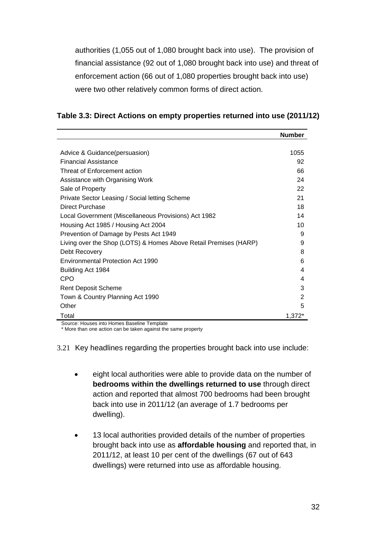authorities (1,055 out of 1,080 brought back into use). The provision of financial assistance (92 out of 1,080 brought back into use) and threat of enforcement action (66 out of 1,080 properties brought back into use) were two other relatively common forms of direct action.

| Table 3.3: Direct Actions on empty properties returned into use (2011/12) |  |  |
|---------------------------------------------------------------------------|--|--|
|---------------------------------------------------------------------------|--|--|

|                                                                  | <b>Number</b> |
|------------------------------------------------------------------|---------------|
|                                                                  |               |
| Advice & Guidance(persuasion)                                    | 1055          |
| <b>Financial Assistance</b>                                      | 92            |
| Threat of Enforcement action                                     | 66            |
| Assistance with Organising Work                                  | 24            |
| Sale of Property                                                 | 22            |
| Private Sector Leasing / Social letting Scheme                   | 21            |
| Direct Purchase                                                  | 18            |
| Local Government (Miscellaneous Provisions) Act 1982             | 14            |
| Housing Act 1985 / Housing Act 2004                              | 10            |
| Prevention of Damage by Pests Act 1949                           | 9             |
| Living over the Shop (LOTS) & Homes Above Retail Premises (HARP) | 9             |
| Debt Recovery                                                    | 8             |
| Environmental Protection Act 1990                                | 6             |
| Building Act 1984                                                | 4             |
| <b>CPO</b>                                                       | 4             |
| <b>Rent Deposit Scheme</b>                                       | 3             |
| Town & Country Planning Act 1990                                 | 2             |
| Other                                                            | 5             |
| Total                                                            | $1.372*$      |

Source: Houses into Homes Baseline Template

\* More than one action can be taken against the same property

3.21 Key headlines regarding the properties brought back into use include:

- eight local authorities were able to provide data on the number of **bedrooms within the dwellings returned to use** through direct action and reported that almost 700 bedrooms had been brought back into use in 2011/12 (an average of 1.7 bedrooms per dwelling).
- 13 local authorities provided details of the number of properties brought back into use as **affordable housing** and reported that, in 2011/12, at least 10 per cent of the dwellings (67 out of 643 dwellings) were returned into use as affordable housing.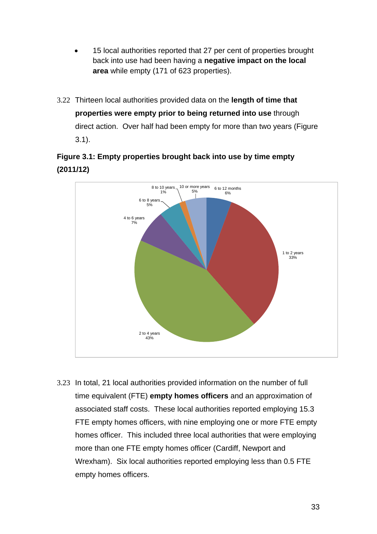- 15 local authorities reported that 27 per cent of properties brought back into use had been having a **negative impact on the local area** while empty (171 of 623 properties).
- 3.22 Thirteen local authorities provided data on the **length of time that properties were empty prior to being returned into use** through direct action. Over half had been empty for more than two years (Figure 3.1).

### **Figure 3.1: Empty properties brought back into use by time empty (2011/12)**



3.23 In total, 21 local authorities provided information on the number of full time equivalent (FTE) **empty homes officers** and an approximation of associated staff costs. These local authorities reported employing 15.3 FTE empty homes officers, with nine employing one or more FTE empty homes officer. This included three local authorities that were employing more than one FTE empty homes officer (Cardiff, Newport and Wrexham). Six local authorities reported employing less than 0.5 FTE empty homes officers.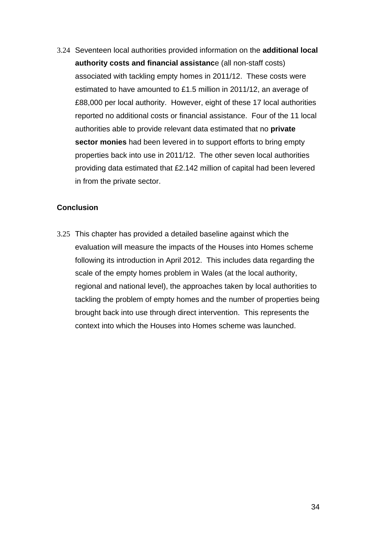3.24 Seventeen local authorities provided information on the **additional local authority costs and financial assistanc**e (all non-staff costs) associated with tackling empty homes in 2011/12. These costs were estimated to have amounted to £1.5 million in 2011/12, an average of £88,000 per local authority. However, eight of these 17 local authorities reported no additional costs or financial assistance. Four of the 11 local authorities able to provide relevant data estimated that no **private sector monies** had been levered in to support efforts to bring empty properties back into use in 2011/12. The other seven local authorities providing data estimated that £2.142 million of capital had been levered in from the private sector.

### **Conclusion**

3.25 This chapter has provided a detailed baseline against which the evaluation will measure the impacts of the Houses into Homes scheme following its introduction in April 2012. This includes data regarding the scale of the empty homes problem in Wales (at the local authority, regional and national level), the approaches taken by local authorities to tackling the problem of empty homes and the number of properties being brought back into use through direct intervention. This represents the context into which the Houses into Homes scheme was launched.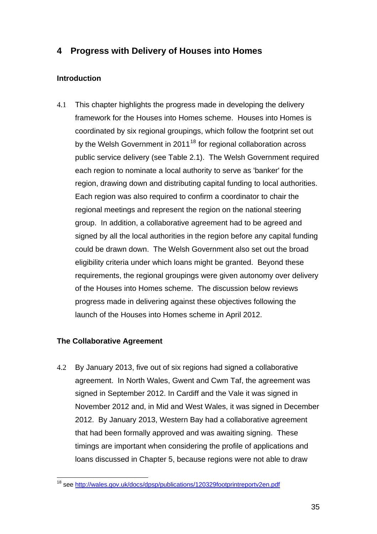### <span id="page-35-0"></span>**4 Progress with Delivery of Houses into Homes**

### **Introduction**

4.1 This chapter highlights the progress made in developing the delivery framework for the Houses into Homes scheme. Houses into Homes is coordinated by six regional groupings, which follow the footprint set out by the Welsh Government in  $2011^{18}$  $2011^{18}$  $2011^{18}$  for regional collaboration across public service delivery (see Table 2.1). The Welsh Government required each region to nominate a local authority to serve as 'banker' for the region, drawing down and distributing capital funding to local authorities. Each region was also required to confirm a coordinator to chair the regional meetings and represent the region on the national steering group. In addition, a collaborative agreement had to be agreed and signed by all the local authorities in the region before any capital funding could be drawn down. The Welsh Government also set out the broad eligibility criteria under which loans might be granted. Beyond these requirements, the regional groupings were given autonomy over delivery of the Houses into Homes scheme. The discussion below reviews progress made in delivering against these objectives following the launch of the Houses into Homes scheme in April 2012.

### **The Collaborative Agreement**

4.2 By January 2013, five out of six regions had signed a collaborative agreement. In North Wales, Gwent and Cwm Taf, the agreement was signed in September 2012. In Cardiff and the Vale it was signed in November 2012 and, in Mid and West Wales, it was signed in December 2012. By January 2013, Western Bay had a collaborative agreement that had been formally approved and was awaiting signing. These timings are important when considering the profile of applications and loans discussed in Chapter 5, because regions were not able to draw

 $\overline{a}$ <sup>18</sup> see <http://wales.gov.uk/docs/dpsp/publications/120329footprintreportv2en.pdf>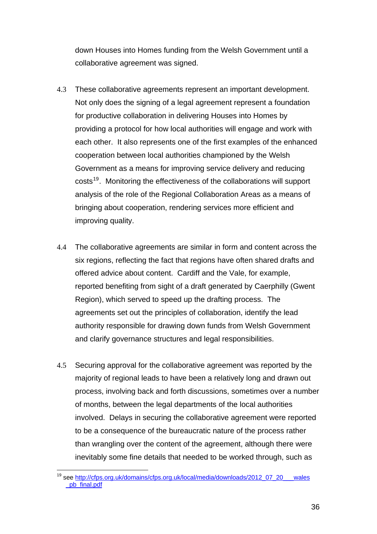<span id="page-36-0"></span>down Houses into Homes funding from the Welsh Government until a collaborative agreement was signed.

- 4.3 These collaborative agreements represent an important development. Not only does the signing of a legal agreement represent a foundation for productive collaboration in delivering Houses into Homes by providing a protocol for how local authorities will engage and work with each other. It also represents one of the first examples of the enhanced cooperation between local authorities championed by the Welsh Government as a means for improving service delivery and reducing costs<sup>[19](#page-36-0)</sup>. Monitoring the effectiveness of the collaborations will support analysis of the role of the Regional Collaboration Areas as a means of bringing about cooperation, rendering services more efficient and improving quality.
- 4.4 The collaborative agreements are similar in form and content across the six regions, reflecting the fact that regions have often shared drafts and offered advice about content. Cardiff and the Vale, for example, reported benefiting from sight of a draft generated by Caerphilly (Gwent Region), which served to speed up the drafting process. The agreements set out the principles of collaboration, identify the lead authority responsible for drawing down funds from Welsh Government and clarify governance structures and legal responsibilities.
- 4.5 Securing approval for the collaborative agreement was reported by the majority of regional leads to have been a relatively long and drawn out process, involving back and forth discussions, sometimes over a number of months, between the legal departments of the local authorities involved. Delays in securing the collaborative agreement were reported to be a consequence of the bureaucratic nature of the process rather than wrangling over the content of the agreement, although there were inevitably some fine details that needed to be worked through, such as

 $\overline{a}$ <sup>19</sup> see http://cfps.org.uk/domains/cfps.org.uk/local/media/downloads/2012\_07\_20\_\_\_wales [\\_pb\\_final.pdf](http://cfps.org.uk/domains/cfps.org.uk/local/media/downloads/2012_07_20___wales%20_pb_final.pdf)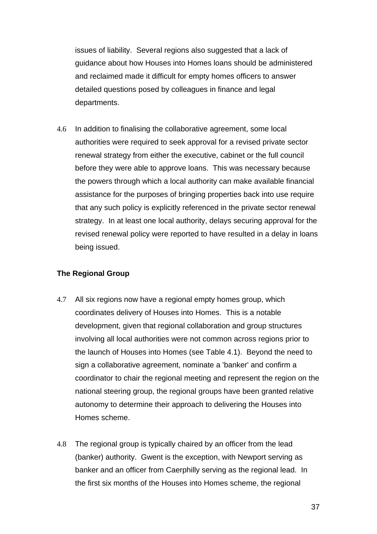issues of liability. Several regions also suggested that a lack of guidance about how Houses into Homes loans should be administered and reclaimed made it difficult for empty homes officers to answer detailed questions posed by colleagues in finance and legal departments.

4.6 In addition to finalising the collaborative agreement, some local authorities were required to seek approval for a revised private sector renewal strategy from either the executive, cabinet or the full council before they were able to approve loans. This was necessary because the powers through which a local authority can make available financial assistance for the purposes of bringing properties back into use require that any such policy is explicitly referenced in the private sector renewal strategy. In at least one local authority, delays securing approval for the revised renewal policy were reported to have resulted in a delay in loans being issued.

### **The Regional Group**

- 4.7 All six regions now have a regional empty homes group, which coordinates delivery of Houses into Homes. This is a notable development, given that regional collaboration and group structures involving all local authorities were not common across regions prior to the launch of Houses into Homes (see Table 4.1). Beyond the need to sign a collaborative agreement, nominate a 'banker' and confirm a coordinator to chair the regional meeting and represent the region on the national steering group, the regional groups have been granted relative autonomy to determine their approach to delivering the Houses into Homes scheme.
- 4.8 The regional group is typically chaired by an officer from the lead (banker) authority. Gwent is the exception, with Newport serving as banker and an officer from Caerphilly serving as the regional lead. In the first six months of the Houses into Homes scheme, the regional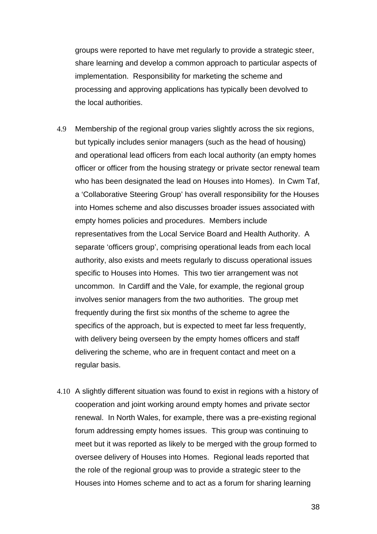groups were reported to have met regularly to provide a strategic steer, share learning and develop a common approach to particular aspects of implementation. Responsibility for marketing the scheme and processing and approving applications has typically been devolved to the local authorities.

- 4.9 Membership of the regional group varies slightly across the six regions, but typically includes senior managers (such as the head of housing) and operational lead officers from each local authority (an empty homes officer or officer from the housing strategy or private sector renewal team who has been designated the lead on Houses into Homes). In Cwm Taf, a 'Collaborative Steering Group' has overall responsibility for the Houses into Homes scheme and also discusses broader issues associated with empty homes policies and procedures. Members include representatives from the Local Service Board and Health Authority. A separate 'officers group', comprising operational leads from each local authority, also exists and meets regularly to discuss operational issues specific to Houses into Homes. This two tier arrangement was not uncommon. In Cardiff and the Vale, for example, the regional group involves senior managers from the two authorities. The group met frequently during the first six months of the scheme to agree the specifics of the approach, but is expected to meet far less frequently, with delivery being overseen by the empty homes officers and staff delivering the scheme, who are in frequent contact and meet on a regular basis.
- 4.10 A slightly different situation was found to exist in regions with a history of cooperation and joint working around empty homes and private sector renewal. In North Wales, for example, there was a pre-existing regional forum addressing empty homes issues. This group was continuing to meet but it was reported as likely to be merged with the group formed to oversee delivery of Houses into Homes. Regional leads reported that the role of the regional group was to provide a strategic steer to the Houses into Homes scheme and to act as a forum for sharing learning

38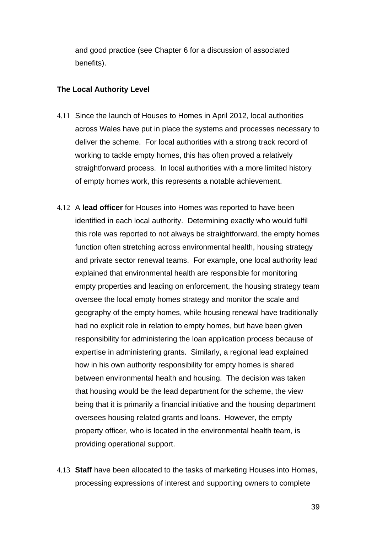and good practice (see Chapter 6 for a discussion of associated benefits).

#### **The Local Authority Level**

- 4.11 Since the launch of Houses to Homes in April 2012, local authorities across Wales have put in place the systems and processes necessary to deliver the scheme. For local authorities with a strong track record of working to tackle empty homes, this has often proved a relatively straightforward process. In local authorities with a more limited history of empty homes work, this represents a notable achievement.
- 4.12 A **lead officer** for Houses into Homes was reported to have been identified in each local authority. Determining exactly who would fulfil this role was reported to not always be straightforward, the empty homes function often stretching across environmental health, housing strategy and private sector renewal teams. For example, one local authority lead explained that environmental health are responsible for monitoring empty properties and leading on enforcement, the housing strategy team oversee the local empty homes strategy and monitor the scale and geography of the empty homes, while housing renewal have traditionally had no explicit role in relation to empty homes, but have been given responsibility for administering the loan application process because of expertise in administering grants. Similarly, a regional lead explained how in his own authority responsibility for empty homes is shared between environmental health and housing. The decision was taken that housing would be the lead department for the scheme, the view being that it is primarily a financial initiative and the housing department oversees housing related grants and loans. However, the empty property officer, who is located in the environmental health team, is providing operational support.
- 4.13 **Staff** have been allocated to the tasks of marketing Houses into Homes, processing expressions of interest and supporting owners to complete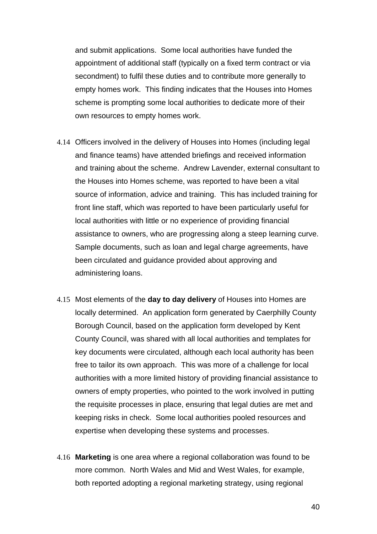and submit applications. Some local authorities have funded the appointment of additional staff (typically on a fixed term contract or via secondment) to fulfil these duties and to contribute more generally to empty homes work. This finding indicates that the Houses into Homes scheme is prompting some local authorities to dedicate more of their own resources to empty homes work.

- 4.14 Officers involved in the delivery of Houses into Homes (including legal and finance teams) have attended briefings and received information and training about the scheme. Andrew Lavender, external consultant to the Houses into Homes scheme, was reported to have been a vital source of information, advice and training. This has included training for front line staff, which was reported to have been particularly useful for local authorities with little or no experience of providing financial assistance to owners, who are progressing along a steep learning curve. Sample documents, such as loan and legal charge agreements, have been circulated and guidance provided about approving and administering loans.
- 4.15 Most elements of the **day to day delivery** of Houses into Homes are locally determined. An application form generated by Caerphilly County Borough Council, based on the application form developed by Kent County Council, was shared with all local authorities and templates for key documents were circulated, although each local authority has been free to tailor its own approach. This was more of a challenge for local authorities with a more limited history of providing financial assistance to owners of empty properties, who pointed to the work involved in putting the requisite processes in place, ensuring that legal duties are met and keeping risks in check. Some local authorities pooled resources and expertise when developing these systems and processes.
- 4.16 **Marketing** is one area where a regional collaboration was found to be more common. North Wales and Mid and West Wales, for example, both reported adopting a regional marketing strategy, using regional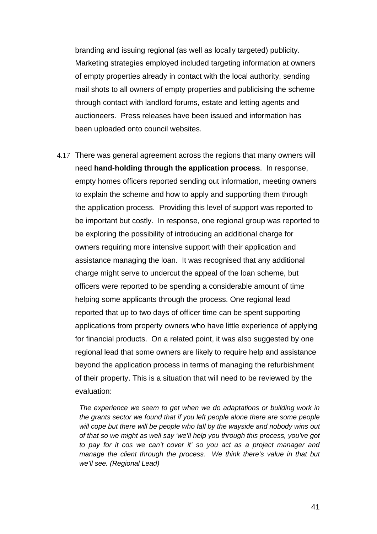branding and issuing regional (as well as locally targeted) publicity. Marketing strategies employed included targeting information at owners of empty properties already in contact with the local authority, sending mail shots to all owners of empty properties and publicising the scheme through contact with landlord forums, estate and letting agents and auctioneers. Press releases have been issued and information has been uploaded onto council websites.

4.17 There was general agreement across the regions that many owners will need **hand-holding through the application process**. In response, empty homes officers reported sending out information, meeting owners to explain the scheme and how to apply and supporting them through the application process. Providing this level of support was reported to be important but costly. In response, one regional group was reported to be exploring the possibility of introducing an additional charge for owners requiring more intensive support with their application and assistance managing the loan. It was recognised that any additional charge might serve to undercut the appeal of the loan scheme, but officers were reported to be spending a considerable amount of time helping some applicants through the process. One regional lead reported that up to two days of officer time can be spent supporting applications from property owners who have little experience of applying for financial products. On a related point, it was also suggested by one regional lead that some owners are likely to require help and assistance beyond the application process in terms of managing the refurbishment of their property. This is a situation that will need to be reviewed by the evaluation:

The experience we seem to get when we do adaptations or building work in *the grants sector we found that if you left people alone there are some people will cope but there will be people who fall by the wayside and nobody wins out of that so we might as well say 'we'll help you through this process, you've got to pay for it cos we can't cover it' so you act as a project manager and manage the client through the process. We think there's value in that but we'll see. (Regional Lead)*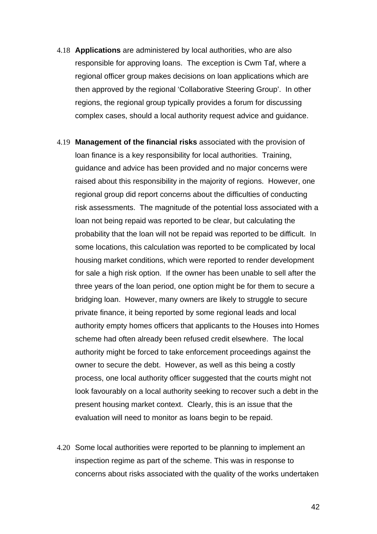- 4.18 **Applications** are administered by local authorities, who are also responsible for approving loans. The exception is Cwm Taf, where a regional officer group makes decisions on loan applications which are then approved by the regional 'Collaborative Steering Group'. In other regions, the regional group typically provides a forum for discussing complex cases, should a local authority request advice and guidance.
- 4.19 **Management of the financial risks** associated with the provision of loan finance is a key responsibility for local authorities. Training, guidance and advice has been provided and no major concerns were raised about this responsibility in the majority of regions. However, one regional group did report concerns about the difficulties of conducting risk assessments. The magnitude of the potential loss associated with a loan not being repaid was reported to be clear, but calculating the probability that the loan will not be repaid was reported to be difficult. In some locations, this calculation was reported to be complicated by local housing market conditions, which were reported to render development for sale a high risk option. If the owner has been unable to sell after the three years of the loan period, one option might be for them to secure a bridging loan. However, many owners are likely to struggle to secure private finance, it being reported by some regional leads and local authority empty homes officers that applicants to the Houses into Homes scheme had often already been refused credit elsewhere. The local authority might be forced to take enforcement proceedings against the owner to secure the debt. However, as well as this being a costly process, one local authority officer suggested that the courts might not look favourably on a local authority seeking to recover such a debt in the present housing market context. Clearly, this is an issue that the evaluation will need to monitor as loans begin to be repaid.
- 4.20 Some local authorities were reported to be planning to implement an inspection regime as part of the scheme. This was in response to concerns about risks associated with the quality of the works undertaken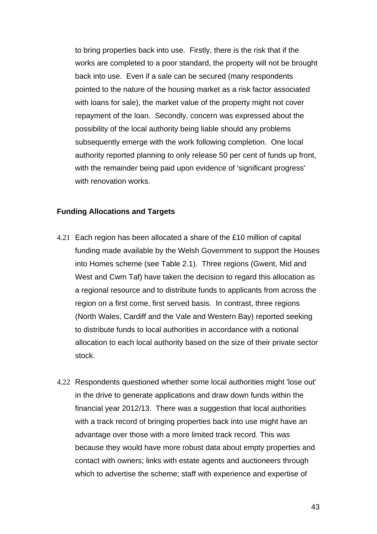to bring properties back into use. Firstly, there is the risk that if the works are completed to a poor standard, the property will not be brought back into use. Even if a sale can be secured (many respondents pointed to the nature of the housing market as a risk factor associated with loans for sale), the market value of the property might not cover repayment of the loan. Secondly, concern was expressed about the possibility of the local authority being liable should any problems subsequently emerge with the work following completion. One local authority reported planning to only release 50 per cent of funds up front, with the remainder being paid upon evidence of 'significant progress' with renovation works.

### **Funding Allocations and Targets**

- 4.21 Each region has been allocated a share of the £10 million of capital funding made available by the Welsh Government to support the Houses into Homes scheme (see Table 2.1). Three regions (Gwent, Mid and West and Cwm Taf) have taken the decision to regard this allocation as a regional resource and to distribute funds to applicants from across the region on a first come, first served basis. In contrast, three regions (North Wales, Cardiff and the Vale and Western Bay) reported seeking to distribute funds to local authorities in accordance with a notional allocation to each local authority based on the size of their private sector stock.
- 4.22 Respondents questioned whether some local authorities might 'lose out' in the drive to generate applications and draw down funds within the financial year 2012/13. There was a suggestion that local authorities with a track record of bringing properties back into use might have an advantage over those with a more limited track record. This was because they would have more robust data about empty properties and contact with owners; links with estate agents and auctioneers through which to advertise the scheme; staff with experience and expertise of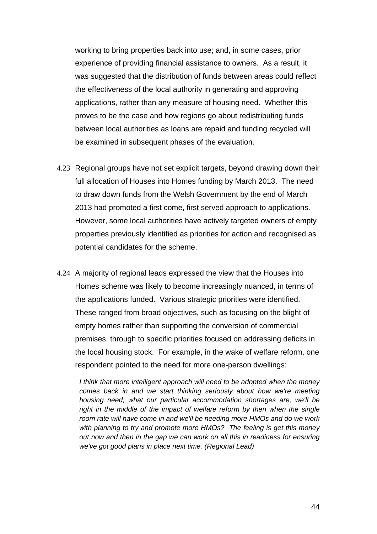working to bring properties back into use; and, in some cases, prior experience of providing financial assistance to owners. As a result, it was suggested that the distribution of funds between areas could reflect the effectiveness of the local authority in generating and approving applications, rather than any measure of housing need. Whether this proves to be the case and how regions go about redistributing funds between local authorities as loans are repaid and funding recycled will be examined in subsequent phases of the evaluation.

- 4.23 Regional groups have not set explicit targets, beyond drawing down their full allocation of Houses into Homes funding by March 2013. The need to draw down funds from the Welsh Government by the end of March 2013 had promoted a first come, first served approach to applications. However, some local authorities have actively targeted owners of empty properties previously identified as priorities for action and recognised as potential candidates for the scheme.
- 4.24 A majority of regional leads expressed the view that the Houses into Homes scheme was likely to become increasingly nuanced, in terms of the applications funded. Various strategic priorities were identified. These ranged from broad objectives, such as focusing on the blight of empty homes rather than supporting the conversion of commercial premises, through to specific priorities focused on addressing deficits in the local housing stock. For example, in the wake of welfare reform, one respondent pointed to the need for more one-person dwellings:

*I think that more intelligent approach will need to be adopted when the money comes back in and we start thinking seriously about how we're meeting housing need, what our particular accommodation shortages are, we'll be*  right in the middle of the impact of welfare reform by then when the single *room rate will have come in and we'll be needing more HMOs and do we work with planning to try and promote more HMOs? The feeling is get this money out now and then in the gap we can work on all this in readiness for ensuring we've got good plans in place next time. (Regional Lead)*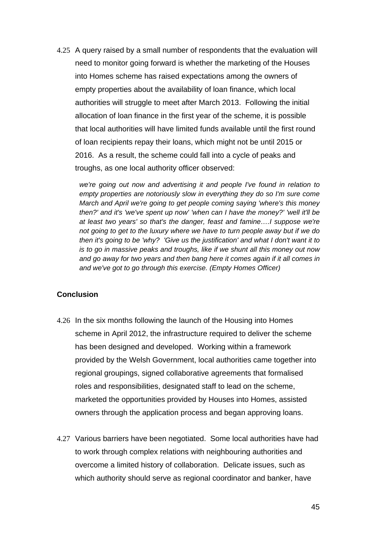4.25 A query raised by a small number of respondents that the evaluation will need to monitor going forward is whether the marketing of the Houses into Homes scheme has raised expectations among the owners of empty properties about the availability of loan finance, which local authorities will struggle to meet after March 2013. Following the initial allocation of loan finance in the first year of the scheme, it is possible that local authorities will have limited funds available until the first round of loan recipients repay their loans, which might not be until 2015 or 2016. As a result, the scheme could fall into a cycle of peaks and troughs, as one local authority officer observed:

*we're going out now and advertising it and people I've found in relation to empty properties are notoriously slow in everything they do so I'm sure come March and April we're going to get people coming saying 'where's this money then?' and it's 'we've spent up now' 'when can I have the money?' 'well it'll be at least two years' so that's the danger, feast and famine….I suppose we're not going to get to the luxury where we have to turn people away but if we do then it's going to be 'why? 'Give us the justification' and what I don't want it to is to go in massive peaks and troughs, like if we shunt all this money out now and go away for two years and then bang here it comes again if it all comes in and we've got to go through this exercise. (Empty Homes Officer)* 

#### **Conclusion**

- 4.26 In the six months following the launch of the Housing into Homes scheme in April 2012, the infrastructure required to deliver the scheme has been designed and developed. Working within a framework provided by the Welsh Government, local authorities came together into regional groupings, signed collaborative agreements that formalised roles and responsibilities, designated staff to lead on the scheme, marketed the opportunities provided by Houses into Homes, assisted owners through the application process and began approving loans.
- 4.27 Various barriers have been negotiated. Some local authorities have had to work through complex relations with neighbouring authorities and overcome a limited history of collaboration. Delicate issues, such as which authority should serve as regional coordinator and banker, have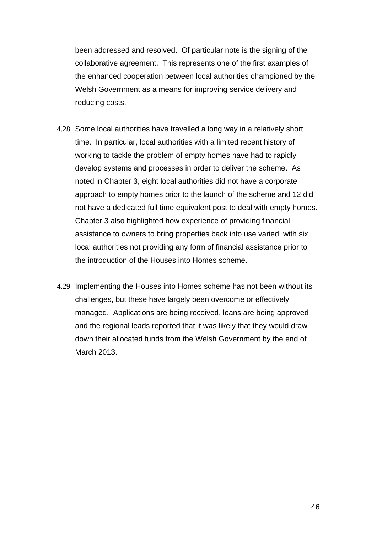been addressed and resolved. Of particular note is the signing of the collaborative agreement. This represents one of the first examples of the enhanced cooperation between local authorities championed by the Welsh Government as a means for improving service delivery and reducing costs.

- 4.28 Some local authorities have travelled a long way in a relatively short time. In particular, local authorities with a limited recent history of working to tackle the problem of empty homes have had to rapidly develop systems and processes in order to deliver the scheme. As noted in Chapter 3, eight local authorities did not have a corporate approach to empty homes prior to the launch of the scheme and 12 did not have a dedicated full time equivalent post to deal with empty homes. Chapter 3 also highlighted how experience of providing financial assistance to owners to bring properties back into use varied, with six local authorities not providing any form of financial assistance prior to the introduction of the Houses into Homes scheme.
- 4.29 Implementing the Houses into Homes scheme has not been without its challenges, but these have largely been overcome or effectively managed. Applications are being received, loans are being approved and the regional leads reported that it was likely that they would draw down their allocated funds from the Welsh Government by the end of March 2013.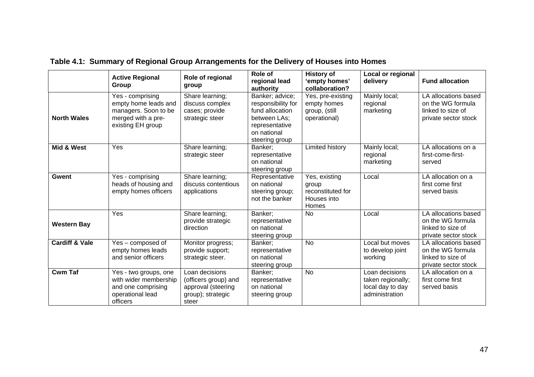|                           | <b>Active Regional</b>                                                                                      | Role of regional                                                                           | Role of<br>regional lead                                                                                                    | <b>History of</b><br>'empty homes'                                  | Local or regional<br>delivery                                             | <b>Fund allocation</b>                                                                 |
|---------------------------|-------------------------------------------------------------------------------------------------------------|--------------------------------------------------------------------------------------------|-----------------------------------------------------------------------------------------------------------------------------|---------------------------------------------------------------------|---------------------------------------------------------------------------|----------------------------------------------------------------------------------------|
|                           | Group                                                                                                       | group                                                                                      | authority                                                                                                                   | collaboration?                                                      |                                                                           |                                                                                        |
| <b>North Wales</b>        | Yes - comprising<br>empty home leads and<br>managers. Soon to be<br>merged with a pre-<br>existing EH group | Share learning;<br>discuss complex<br>cases; provide<br>strategic steer                    | Banker; advice;<br>responsibility for<br>fund allocation<br>between LAs;<br>representative<br>on national<br>steering group | Yes, pre-existing<br>empty homes<br>group, (still<br>operational)   | Mainly local;<br>regional<br>marketing                                    | LA allocations based<br>on the WG formula<br>linked to size of<br>private sector stock |
| Mid & West                | Yes                                                                                                         | Share learning;<br>strategic steer                                                         | Banker:<br>representative<br>on national<br>steering group                                                                  | Limited history                                                     | Mainly local;<br>regional<br>marketing                                    | LA allocations on a<br>first-come-first-<br>served                                     |
| <b>Gwent</b>              | Yes - comprising<br>heads of housing and<br>empty homes officers                                            | Share learning;<br>discuss contentious<br>applications                                     | Representative<br>on national<br>steering group;<br>not the banker                                                          | Yes, existing<br>group<br>reconstituted for<br>Houses into<br>Homes | Local                                                                     | LA allocation on a<br>first come first<br>served basis                                 |
| <b>Western Bay</b>        | Yes                                                                                                         | Share learning;<br>provide strategic<br>direction                                          | Banker;<br>representative<br>on national<br>steering group                                                                  | <b>No</b>                                                           | Local                                                                     | LA allocations based<br>on the WG formula<br>linked to size of<br>private sector stock |
| <b>Cardiff &amp; Vale</b> | Yes - composed of<br>empty homes leads<br>and senior officers                                               | Monitor progress;<br>provide support;<br>strategic steer.                                  | Banker:<br>representative<br>on national<br>steering group                                                                  | <b>No</b>                                                           | Local but moves<br>to develop joint<br>working                            | LA allocations based<br>on the WG formula<br>linked to size of<br>private sector stock |
| <b>Cwm Taf</b>            | Yes - two groups, one<br>with wider membership<br>and one comprising<br>operational lead<br>officers        | Loan decisions<br>(officers group) and<br>approval (steering<br>group); strategic<br>steer | Banker;<br>representative<br>on national<br>steering group                                                                  | <b>No</b>                                                           | Loan decisions<br>taken regionally;<br>local day to day<br>administration | LA allocation on a<br>first come first<br>served basis                                 |

### **Table 4.1: Summary of Regional Group Arrangements for the Delivery of Houses into Homes**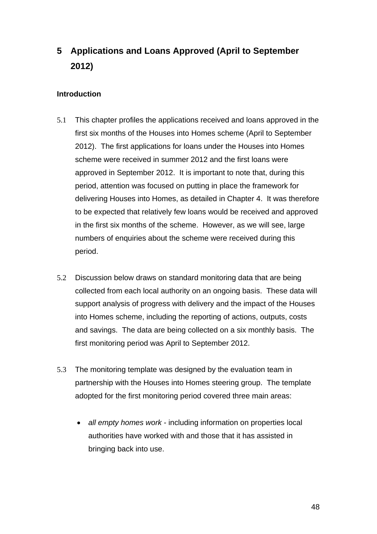# <span id="page-48-0"></span>**5 Applications and Loans Approved (April to September 2012)**

### **Introduction**

- 5.1 This chapter profiles the applications received and loans approved in the first six months of the Houses into Homes scheme (April to September 2012). The first applications for loans under the Houses into Homes scheme were received in summer 2012 and the first loans were approved in September 2012. It is important to note that, during this period, attention was focused on putting in place the framework for delivering Houses into Homes, as detailed in Chapter 4. It was therefore to be expected that relatively few loans would be received and approved in the first six months of the scheme. However, as we will see, large numbers of enquiries about the scheme were received during this period.
- 5.2 Discussion below draws on standard monitoring data that are being collected from each local authority on an ongoing basis. These data will support analysis of progress with delivery and the impact of the Houses into Homes scheme, including the reporting of actions, outputs, costs and savings. The data are being collected on a six monthly basis. The first monitoring period was April to September 2012.
- 5.3 The monitoring template was designed by the evaluation team in partnership with the Houses into Homes steering group. The template adopted for the first monitoring period covered three main areas:
	- *all empty homes work* including information on properties local authorities have worked with and those that it has assisted in bringing back into use.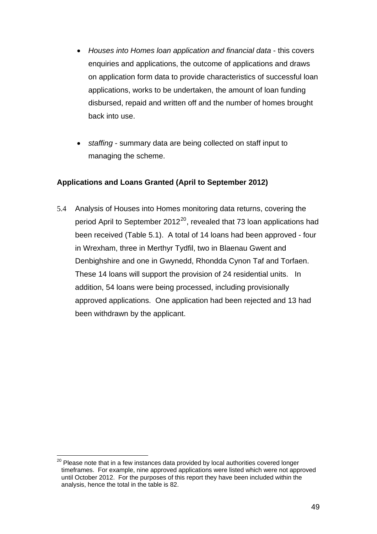- <span id="page-49-0"></span>• *Houses into Homes loan application and financial data* - this covers enquiries and applications, the outcome of applications and draws on application form data to provide characteristics of successful loan applications, works to be undertaken, the amount of loan funding disbursed, repaid and written off and the number of homes brought back into use.
- *staffing* summary data are being collected on staff input to managing the scheme.

### **Applications and Loans Granted (April to September 2012)**

5.4 Analysis of Houses into Homes monitoring data returns, covering the period April to September [20](#page-49-0)12 $^{20}$ , revealed that 73 loan applications had been received (Table 5.1). A total of 14 loans had been approved - four in Wrexham, three in Merthyr Tydfil, two in Blaenau Gwent and Denbighshire and one in Gwynedd, Rhondda Cynon Taf and Torfaen. These 14 loans will support the provision of 24 residential units. In addition, 54 loans were being processed, including provisionally approved applications. One application had been rejected and 13 had been withdrawn by the applicant.

 $\overline{a}$  $20$  Please note that in a few instances data provided by local authorities covered longer timeframes. For example, nine approved applications were listed which were not approved until October 2012. For the purposes of this report they have been included within the analysis, hence the total in the table is 82.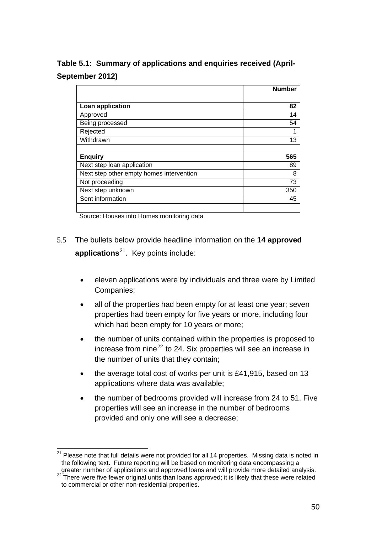<span id="page-50-0"></span>**Table 5.1: Summary of applications and enquiries received (April-September 2012)** 

|                                          | <b>Number</b> |
|------------------------------------------|---------------|
|                                          |               |
| Loan application                         | 82            |
| Approved                                 | 14            |
| Being processed                          | 54            |
| Rejected                                 | 1             |
| Withdrawn                                | 13            |
|                                          |               |
| <b>Enquiry</b>                           | 565           |
| Next step loan application               | 89            |
| Next step other empty homes intervention | 8             |
| Not proceeding                           | 73            |
| Next step unknown                        | 350           |
| Sent information                         | 45            |
|                                          |               |

Source: Houses into Homes monitoring data

- 5.5 The bullets below provide headline information on the **14 approved applications**[21](#page-50-0). Key points include:
	- eleven applications were by individuals and three were by Limited Companies;
	- all of the properties had been empty for at least one year; seven properties had been empty for five years or more, including four which had been empty for 10 years or more;
	- the number of units contained within the properties is proposed to increase from nine $^{22}$  $^{22}$  $^{22}$  to 24. Six properties will see an increase in the number of units that they contain;
	- the average total cost of works per unit is £41,915, based on 13 applications where data was available;
	- the number of bedrooms provided will increase from 24 to 51. Five properties will see an increase in the number of bedrooms provided and only one will see a decrease;

 $\overline{a}$  $21$  Please note that full details were not provided for all 14 properties. Missing data is noted in the following text. Future reporting will be based on monitoring data encompassing a greater number of applications and approved loans and will provide more detailed analysis.

greater number of applications and approved identity and will provide more than 22 There were five fewer original units than loans approved; it is likely that these were related to commercial or other non-residential properties.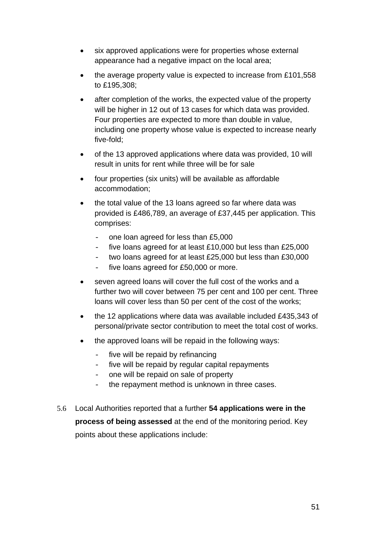- six approved applications were for properties whose external appearance had a negative impact on the local area;
- the average property value is expected to increase from £101,558 to £195,308;
- after completion of the works, the expected value of the property will be higher in 12 out of 13 cases for which data was provided. Four properties are expected to more than double in value, including one property whose value is expected to increase nearly five-fold;
- of the 13 approved applications where data was provided, 10 will result in units for rent while three will be for sale
- four properties (six units) will be available as affordable accommodation;
- the total value of the 13 loans agreed so far where data was provided is £486,789, an average of £37,445 per application. This comprises:
	- one loan agreed for less than £5,000
	- five loans agreed for at least £10,000 but less than £25,000
	- two loans agreed for at least £25,000 but less than £30,000
	- five loans agreed for £50,000 or more.
- seven agreed loans will cover the full cost of the works and a further two will cover between 75 per cent and 100 per cent. Three loans will cover less than 50 per cent of the cost of the works;
- the 12 applications where data was available included £435,343 of personal/private sector contribution to meet the total cost of works.
- the approved loans will be repaid in the following ways:
	- five will be repaid by refinancing
	- five will be repaid by regular capital repayments
	- one will be repaid on sale of property
	- the repayment method is unknown in three cases.
- 5.6 Local Authorities reported that a further **54 applications were in the process of being assessed** at the end of the monitoring period. Key points about these applications include: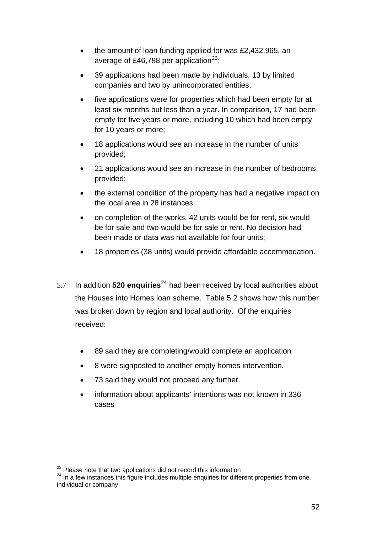- <span id="page-52-0"></span>• the amount of loan funding applied for was £2,432,965, an average of £46,788 per application<sup>[23](#page-52-0)</sup>;
- 39 applications had been made by individuals, 13 by limited companies and two by unincorporated entities;
- five applications were for properties which had been empty for at least six months but less than a year. In comparison, 17 had been empty for five years or more, including 10 which had been empty for 10 years or more;
- 18 applications would see an increase in the number of units provided;
- 21 applications would see an increase in the number of bedrooms provided;
- the external condition of the property has had a negative impact on the local area in 28 instances.
- on completion of the works, 42 units would be for rent, six would be for sale and two would be for sale or rent. No decision had been made or data was not available for four units;
- 18 properties (38 units) would provide affordable accommodation.
- 5.7 In addition **520 enquiries**<sup>[24](#page-52-0)</sup> had been received by local authorities about the Houses into Homes loan scheme. Table 5.2 shows how this number was broken down by region and local authority. Of the enquiries received:
	- 89 said they are completing/would complete an application
	- 8 were signposted to another empty homes intervention.
	- 73 said they would not proceed any further.
	- information about applicants' intentions was not known in 336 cases

<sup>&</sup>lt;sup>23</sup> Please note that two applications did not record this information

<sup>&</sup>lt;sup>24</sup> In a few instances this figure includes multiple enquiries for different properties from one individual or company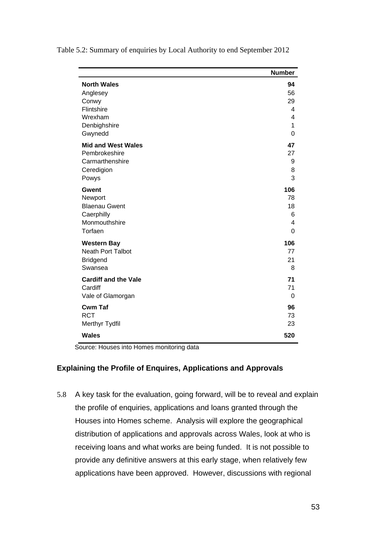|                             | <b>Number</b> |
|-----------------------------|---------------|
| <b>North Wales</b>          | 94            |
| Anglesey                    | 56            |
| Conwy                       | 29            |
| Flintshire                  | 4             |
| Wrexham                     | 4             |
| Denbighshire                | 1             |
| Gwynedd                     | 0             |
| <b>Mid and West Wales</b>   | 47            |
| Pembrokeshire               | 27            |
| Carmarthenshire             | 9             |
| Ceredigion                  | 8             |
| Powys                       | 3             |
| <b>Gwent</b>                | 106           |
| Newport                     | 78            |
| <b>Blaenau Gwent</b>        | 18            |
| Caerphilly                  | 6             |
| Monmouthshire               | 4             |
| Torfaen                     | 0             |
| <b>Western Bay</b>          | 106           |
| <b>Neath Port Talbot</b>    | 77            |
| <b>Bridgend</b>             | 21            |
| Swansea                     | 8             |
| <b>Cardiff and the Vale</b> | 71            |
| Cardiff                     | 71            |
| Vale of Glamorgan           | $\Omega$      |
| <b>Cwm Taf</b>              | 96            |
| <b>RCT</b>                  | 73            |
| Merthyr Tydfil              | 23            |
| <b>Wales</b>                | 520           |

Table 5.2: Summary of enquiries by Local Authority to end September 2012

Source: Houses into Homes monitoring data

### **Explaining the Profile of Enquires, Applications and Approvals**

5.8 A key task for the evaluation, going forward, will be to reveal and explain the profile of enquiries, applications and loans granted through the Houses into Homes scheme. Analysis will explore the geographical distribution of applications and approvals across Wales, look at who is receiving loans and what works are being funded. It is not possible to provide any definitive answers at this early stage, when relatively few applications have been approved. However, discussions with regional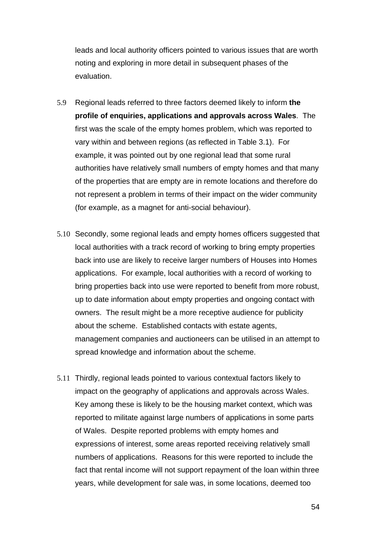leads and local authority officers pointed to various issues that are worth noting and exploring in more detail in subsequent phases of the evaluation.

- 5.9 Regional leads referred to three factors deemed likely to inform **the profile of enquiries, applications and approvals across Wales**. The first was the scale of the empty homes problem, which was reported to vary within and between regions (as reflected in Table 3.1). For example, it was pointed out by one regional lead that some rural authorities have relatively small numbers of empty homes and that many of the properties that are empty are in remote locations and therefore do not represent a problem in terms of their impact on the wider community (for example, as a magnet for anti-social behaviour).
- 5.10 Secondly, some regional leads and empty homes officers suggested that local authorities with a track record of working to bring empty properties back into use are likely to receive larger numbers of Houses into Homes applications. For example, local authorities with a record of working to bring properties back into use were reported to benefit from more robust, up to date information about empty properties and ongoing contact with owners. The result might be a more receptive audience for publicity about the scheme. Established contacts with estate agents, management companies and auctioneers can be utilised in an attempt to spread knowledge and information about the scheme.
- 5.11 Thirdly, regional leads pointed to various contextual factors likely to impact on the geography of applications and approvals across Wales. Key among these is likely to be the housing market context, which was reported to militate against large numbers of applications in some parts of Wales. Despite reported problems with empty homes and expressions of interest, some areas reported receiving relatively small numbers of applications. Reasons for this were reported to include the fact that rental income will not support repayment of the loan within three years, while development for sale was, in some locations, deemed too
	- 54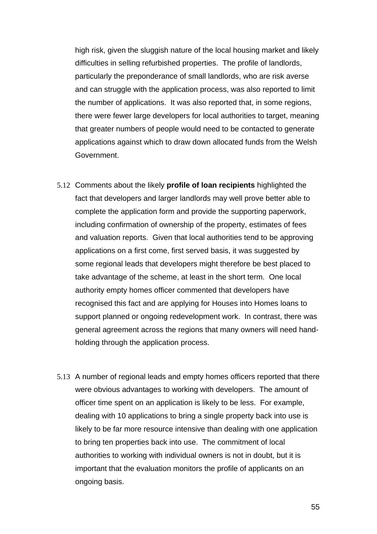high risk, given the sluggish nature of the local housing market and likely difficulties in selling refurbished properties. The profile of landlords, particularly the preponderance of small landlords, who are risk averse and can struggle with the application process, was also reported to limit the number of applications. It was also reported that, in some regions, there were fewer large developers for local authorities to target, meaning that greater numbers of people would need to be contacted to generate applications against which to draw down allocated funds from the Welsh Government.

- 5.12 Comments about the likely **profile of loan recipients** highlighted the fact that developers and larger landlords may well prove better able to complete the application form and provide the supporting paperwork, including confirmation of ownership of the property, estimates of fees and valuation reports. Given that local authorities tend to be approving applications on a first come, first served basis, it was suggested by some regional leads that developers might therefore be best placed to take advantage of the scheme, at least in the short term. One local authority empty homes officer commented that developers have recognised this fact and are applying for Houses into Homes loans to support planned or ongoing redevelopment work. In contrast, there was general agreement across the regions that many owners will need handholding through the application process.
- 5.13 A number of regional leads and empty homes officers reported that there were obvious advantages to working with developers. The amount of officer time spent on an application is likely to be less. For example, dealing with 10 applications to bring a single property back into use is likely to be far more resource intensive than dealing with one application to bring ten properties back into use. The commitment of local authorities to working with individual owners is not in doubt, but it is important that the evaluation monitors the profile of applicants on an ongoing basis.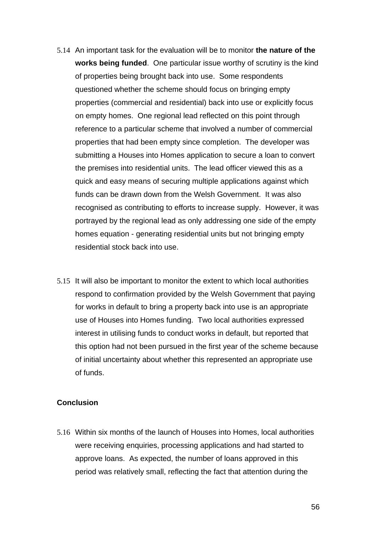- 5.14 An important task for the evaluation will be to monitor **the nature of the works being funded**. One particular issue worthy of scrutiny is the kind of properties being brought back into use. Some respondents questioned whether the scheme should focus on bringing empty properties (commercial and residential) back into use or explicitly focus on empty homes. One regional lead reflected on this point through reference to a particular scheme that involved a number of commercial properties that had been empty since completion. The developer was submitting a Houses into Homes application to secure a loan to convert the premises into residential units. The lead officer viewed this as a quick and easy means of securing multiple applications against which funds can be drawn down from the Welsh Government. It was also recognised as contributing to efforts to increase supply. However, it was portrayed by the regional lead as only addressing one side of the empty homes equation - generating residential units but not bringing empty residential stock back into use.
- 5.15 It will also be important to monitor the extent to which local authorities respond to confirmation provided by the Welsh Government that paying for works in default to bring a property back into use is an appropriate use of Houses into Homes funding. Two local authorities expressed interest in utilising funds to conduct works in default, but reported that this option had not been pursued in the first year of the scheme because of initial uncertainty about whether this represented an appropriate use of funds.

#### **Conclusion**

5.16 Within six months of the launch of Houses into Homes, local authorities were receiving enquiries, processing applications and had started to approve loans. As expected, the number of loans approved in this period was relatively small, reflecting the fact that attention during the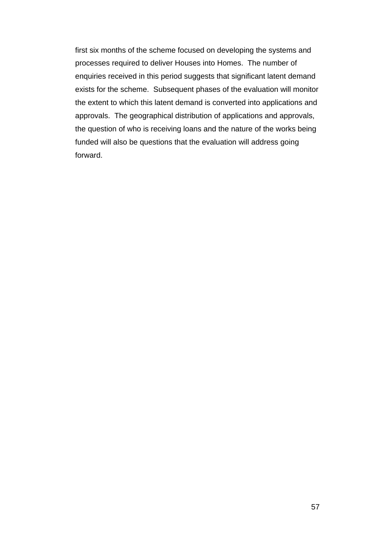first six months of the scheme focused on developing the systems and processes required to deliver Houses into Homes. The number of enquiries received in this period suggests that significant latent demand exists for the scheme. Subsequent phases of the evaluation will monitor the extent to which this latent demand is converted into applications and approvals. The geographical distribution of applications and approvals, the question of who is receiving loans and the nature of the works being funded will also be questions that the evaluation will address going forward.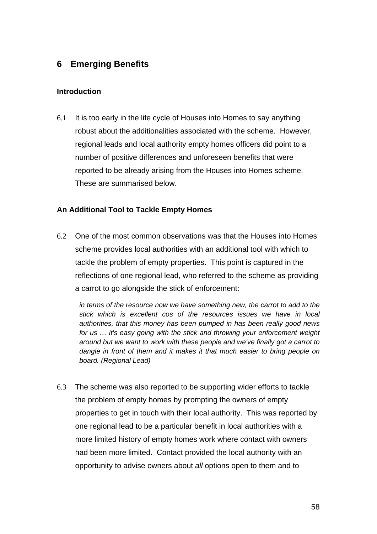### <span id="page-58-0"></span>**6 Emerging Benefits**

### **Introduction**

6.1 It is too early in the life cycle of Houses into Homes to say anything robust about the additionalities associated with the scheme. However, regional leads and local authority empty homes officers did point to a number of positive differences and unforeseen benefits that were reported to be already arising from the Houses into Homes scheme. These are summarised below.

### **An Additional Tool to Tackle Empty Homes**

6.2 One of the most common observations was that the Houses into Homes scheme provides local authorities with an additional tool with which to tackle the problem of empty properties. This point is captured in the reflections of one regional lead, who referred to the scheme as providing a carrot to go alongside the stick of enforcement:

*in terms of the resource now we have something new, the carrot to add to the stick which is excellent cos of the resources issues we have in local authorities, that this money has been pumped in has been really good news for us … it's easy going with the stick and throwing your enforcement weight around but we want to work with these people and we've finally got a carrot to dangle in front of them and it makes it that much easier to bring people on board. (Regional Lead)* 

6.3 The scheme was also reported to be supporting wider efforts to tackle the problem of empty homes by prompting the owners of empty properties to get in touch with their local authority. This was reported by one regional lead to be a particular benefit in local authorities with a more limited history of empty homes work where contact with owners had been more limited. Contact provided the local authority with an opportunity to advise owners about *all* options open to them and to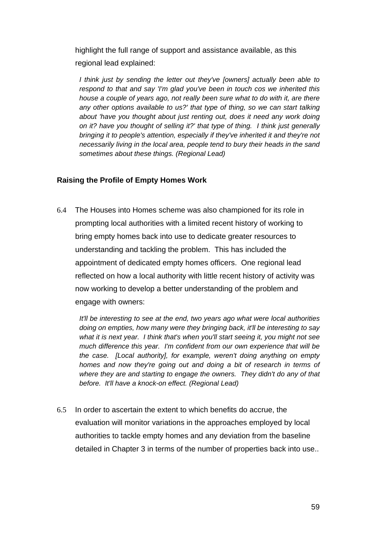highlight the full range of support and assistance available, as this regional lead explained:

*I think just by sending the letter out they've [owners] actually been able to respond to that and say 'I'm glad you've been in touch cos we inherited this house a couple of years ago, not really been sure what to do with it, are there any other options available to us?' that type of thing, so we can start talking about 'have you thought about just renting out, does it need any work doing on it? have you thought of selling it?' that type of thing. I think just generally bringing it to people's attention, especially if they've inherited it and they're not necessarily living in the local area, people tend to bury their heads in the sand sometimes about these things. (Regional Lead)* 

### **Raising the Profile of Empty Homes Work**

6.4 The Houses into Homes scheme was also championed for its role in prompting local authorities with a limited recent history of working to bring empty homes back into use to dedicate greater resources to understanding and tackling the problem. This has included the appointment of dedicated empty homes officers. One regional lead reflected on how a local authority with little recent history of activity was now working to develop a better understanding of the problem and engage with owners:

*It'll be interesting to see at the end, two years ago what were local authorities doing on empties, how many were they bringing back, it'll be interesting to say what it is next year. I think that's when you'll start seeing it, you might not see much difference this year. I'm confident from our own experience that will be the case. [Local authority], for example, weren't doing anything on empty homes and now they're going out and doing a bit of research in terms of where they are and starting to engage the owners. They didn't do any of that before. It'll have a knock-on effect. (Regional Lead)* 

6.5 In order to ascertain the extent to which benefits do accrue, the evaluation will monitor variations in the approaches employed by local authorities to tackle empty homes and any deviation from the baseline detailed in Chapter 3 in terms of the number of properties back into use..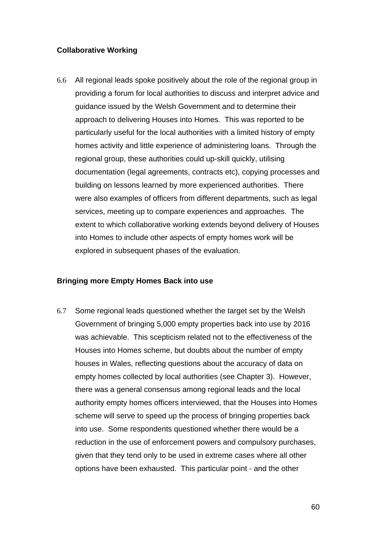### **Collaborative Working**

6.6 All regional leads spoke positively about the role of the regional group in providing a forum for local authorities to discuss and interpret advice and guidance issued by the Welsh Government and to determine their approach to delivering Houses into Homes. This was reported to be particularly useful for the local authorities with a limited history of empty homes activity and little experience of administering loans. Through the regional group, these authorities could up-skill quickly, utilising documentation (legal agreements, contracts etc), copying processes and building on lessons learned by more experienced authorities. There were also examples of officers from different departments, such as legal services, meeting up to compare experiences and approaches. The extent to which collaborative working extends beyond delivery of Houses into Homes to include other aspects of empty homes work will be explored in subsequent phases of the evaluation.

#### **Bringing more Empty Homes Back into use**

6.7 Some regional leads questioned whether the target set by the Welsh Government of bringing 5,000 empty properties back into use by 2016 was achievable. This scepticism related not to the effectiveness of the Houses into Homes scheme, but doubts about the number of empty houses in Wales, reflecting questions about the accuracy of data on empty homes collected by local authorities (see Chapter 3). However, there was a general consensus among regional leads and the local authority empty homes officers interviewed, that the Houses into Homes scheme will serve to speed up the process of bringing properties back into use. Some respondents questioned whether there would be a reduction in the use of enforcement powers and compulsory purchases, given that they tend only to be used in extreme cases where all other options have been exhausted. This particular point - and the other